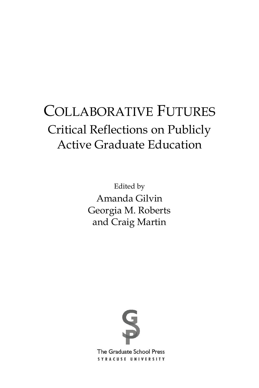## COLLABORATIVE FUTURES Critical Reflections on Publicly Active Graduate Education

Edited by Amanda Gilvin Georgia M. Roberts and Craig Martin



The Graduate School Press SYRACUSE UNIVERSITY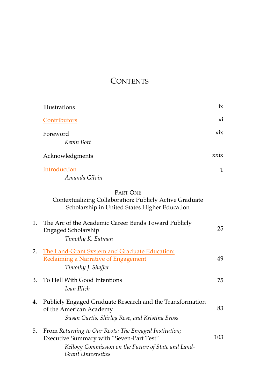## **CONTENTS**

|    | Illustrations                                                                    | ix   |
|----|----------------------------------------------------------------------------------|------|
|    | Contributors                                                                     | хi   |
|    | Foreword                                                                         | xix  |
|    | Kevin Bott                                                                       |      |
|    | Acknowledgments                                                                  | xxix |
|    | Introduction                                                                     | 1    |
|    | Amanda Gilvin                                                                    |      |
|    | PART ONE                                                                         |      |
|    | Contextualizing Collaboration: Publicly Active Graduate                          |      |
|    | Scholarship in United States Higher Education                                    |      |
| 1. | The Arc of the Academic Career Bends Toward Publicly                             |      |
|    | Engaged Scholarship                                                              | 25   |
|    | Timothy K. Eatman                                                                |      |
| 2. | The Land-Grant System and Graduate Education:                                    |      |
|    | <b>Reclaiming a Narrative of Engagement</b>                                      | 49   |
|    | Timothy J. Shaffer                                                               |      |
| 3. | To Hell With Good Intentions                                                     | 75   |
|    | Ivan Illich                                                                      |      |
| 4. | Publicly Engaged Graduate Research and the Transformation                        |      |
|    | of the American Academy                                                          | 83   |
|    | Susan Curtis, Shirley Rose, and Kristina Bross                                   |      |
| 5. | From Returning to Our Roots: The Engaged Institution;                            |      |
|    | Executive Summary with "Seven-Part Test"                                         | 103  |
|    | Kellogg Commission on the Future of State and Land-<br><b>Grant Universities</b> |      |
|    |                                                                                  |      |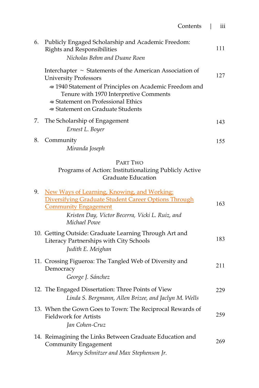| 6. | Publicly Engaged Scholarship and Academic Freedom:<br>Rights and Responsibilities<br>Nicholas Behm and Duane Roen                                                                                                                                                                     | 111 |
|----|---------------------------------------------------------------------------------------------------------------------------------------------------------------------------------------------------------------------------------------------------------------------------------------|-----|
|    | Interchapter $\sim$ Statements of the American Association of<br><b>University Professors</b><br>#1940 Statement of Principles on Academic Freedom and<br>Tenure with 1970 Interpretive Comments<br><del>●</del> Statement on Professional Ethics<br>* Statement on Graduate Students | 127 |
| 7. | The Scholarship of Engagement<br>Ernest L. Boyer                                                                                                                                                                                                                                      | 143 |
| 8. | Community<br>Miranda Joseph                                                                                                                                                                                                                                                           | 155 |
|    | <b>PART TWO</b><br>Programs of Action: Institutionalizing Publicly Active<br><b>Graduate Education</b>                                                                                                                                                                                |     |
| 9. | New Ways of Learning, Knowing, and Working:<br>Diversifying Graduate Student Career Options Through<br><b>Community Engagement</b><br>Kristen Day, Victor Becerra, Vicki L. Ruiz, and<br>Michael Powe                                                                                 | 163 |
|    | 10. Getting Outside: Graduate Learning Through Art and<br>Literacy Partnerships with City Schools<br>Judith E. Meighan                                                                                                                                                                | 183 |
|    | 11. Crossing Figueroa: The Tangled Web of Diversity and<br>Democracy<br>George J. Sánchez                                                                                                                                                                                             | 211 |
|    | 12. The Engaged Dissertation: Three Points of View<br>Linda S. Bergmann, Allen Brizee, and Jaclyn M. Wells                                                                                                                                                                            | 229 |
|    | 13. When the Gown Goes to Town: The Reciprocal Rewards of<br><b>Fieldwork for Artists</b><br>Jan Cohen-Cruz                                                                                                                                                                           | 259 |
|    | 14. Reimagining the Links Between Graduate Education and<br>Community Engagement<br>Marcy Schnitzer and Max Stephenson Jr.                                                                                                                                                            | 269 |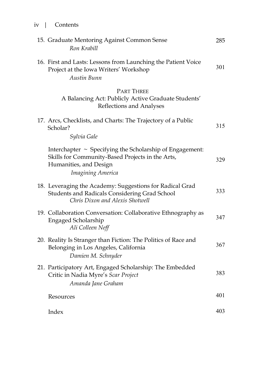| 15. Graduate Mentoring Against Common Sense<br>Ron Krabill                                                                                                       | 285 |
|------------------------------------------------------------------------------------------------------------------------------------------------------------------|-----|
| 16. First and Lasts: Lessons from Launching the Patient Voice<br>Project at the Iowa Writers' Workshop<br>Austin Bunn                                            | 301 |
| <b>PART THREE</b><br>A Balancing Act: Publicly Active Graduate Students'<br>Reflections and Analyses                                                             |     |
| 17. Arcs, Checklists, and Charts: The Trajectory of a Public<br>Scholar?<br>Sylvia Gale                                                                          | 315 |
| Interchapter $\sim$ Specifying the Scholarship of Engagement:<br>Skills for Community-Based Projects in the Arts,<br>Humanities, and Design<br>Imagining America | 329 |
| 18. Leveraging the Academy: Suggestions for Radical Grad<br>Students and Radicals Considering Grad School<br>Chris Dixon and Alexis Shotwell                     | 333 |
| 19. Collaboration Conversation: Collaborative Ethnography as<br>Engaged Scholarship<br>Ali Colleen Neff                                                          | 347 |
| 20. Reality Is Stranger than Fiction: The Politics of Race and<br>Belonging in Los Angeles, California<br>Damien M. Schnyder                                     | 367 |
| 21. Participatory Art, Engaged Scholarship: The Embedded<br>Critic in Nadia Myre's Scar Project<br>Amanda Jane Graham                                            | 383 |
| Resources                                                                                                                                                        | 401 |
| Index                                                                                                                                                            | 403 |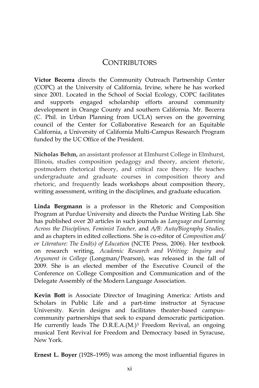### **CONTRIBUTORS**

<span id="page-4-0"></span>**Victor Becerra** directs the Community Outreach Partnership Center (COPC) at the University of California, Irvine, where he has worked since 2001. Located in the School of Social Ecology, COPC facilitates and supports engaged scholarship efforts around community development in Orange County and southern California. Mr. Becerra (C. Phil. in Urban Planning from UCLA) serves on the governing council of the Center for Collaborative Research for an Equitable California, a University of California Multi-Campus Research Program funded by the UC Office of the President.

**Nicholas Behm,** an assistant professor at Elmhurst College in Elmhurst, Illinois, studies composition pedagogy and theory, ancient rhetoric, postmodern rhetorical theory, and critical race theory. He teaches undergraduate and graduate courses in composition theory and rhetoric, and frequently leads workshops about composition theory, writing assessment, writing in the disciplines, and graduate education.

**Linda Bergmann** is a professor in the Rhetoric and Composition Program at Purdue University and directs the Purdue Writing Lab. She has published over 20 articles in such journals as *Language and Learning Across the Disciplines, Feminist Teacher,* and *A/B: Auto/Biography Studies,*  and as chapters in edited collections. She is co-editor of *Composition and/ or Literature: The End(s) of Education* (NCTE Press, 2006). Her textbook on research writing, *Academic Research and Writing: Inquiry and Argument in College* (Longman/Pearson), was released in the fall of 2009. She is an elected member of the Executive Council of the Conference on College Composition and Communication and of the Delegate Assembly of the Modern Language Association.

**Kevin Bott** is Associate Director of Imagining America: Artists and Scholars in Public Life and a part-time instructor at Syracuse University. Kevin designs and facilitates theater-based campuscommunity partnerships that seek to expand democratic participation. He currently leads The D.R.E.A.(M.)3 Freedom Revival, an ongoing musical Tent Revival for Freedom and Democracy based in Syracuse, New York.

**Ernest L. Boyer** (1928–1995) was among the most influential figures in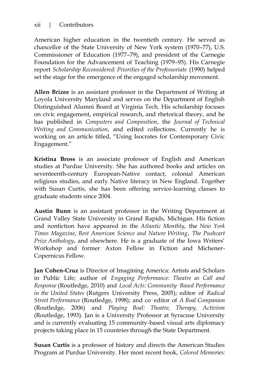American higher education in the twentieth century. He served as chancellor of the State University of New York system (1970–77), U.S. Commissioner of Education (1977–79), and president of the Carnegie Foundation for the Advancement of Teaching (1979–95). His Carnegie report *Scholarship Reconsidered: Priorities of the Professoriate* (1990) helped set the stage for the emergence of the engaged scholarship movement.

**Allen Brizee** is an assistant professor in the Department of Writing at Loyola University Maryland and serves on the Department of English Distinguished Alumni Board at Virginia Tech. His scholarship focuses on civic engagement, empirical research, and rhetorical theory, and he has published in *Computers and Composition*, the *Journal of Technical Writing and Communication*, and edited collections. Currently he is working on an article titled, "Using Isocrates for Contemporary Civic Engagement."

**Kristina Bross** is an associate professor of English and American studies at Purdue University. She has authored books and articles on seventeenth-century European-Native contact, colonial American religious studies, and early Native literacy in New England. Together with Susan Curtis, she has been offering service-learning classes to graduate students since 2004.

**Austin Bunn** is an assistant professor in the Writing Department at Grand Valley State University in Grand Rapids, Michigan. His fiction and nonfiction have appeared in the *Atlantic Monthly*, the *New York Times Magazine*, *Best American Science and Nature Writing*, *The Pushcart Prize Anthology*, and elsewhere. He is a graduate of the Iowa Writers' Workshop and former Axton Fellow in Fiction and Michener-Copernicus Fellow.

**Jan Cohen-Cruz** is Director of Imagining America: Artists and Scholars in Public Life; author of *Engaging Performance: Theatre as Call and Response* (Routledge, 2010) and *Local Acts: Community*‑*Based Performance in the United States* (Rutgers University Press, 2005); editor of *Radical Street Performance* (Routledge, 1998); and co‑editor of *A Boal Companion*  (Routledge, 2006) and *Playing Boal: Theatre, Therapy, Activism* (Routledge, 1993). Jan is a University Professor at Syracuse University and is currently evaluating 15 community-based visual arts diplomacy projects taking place in 15 countries through the State Department.

**Susan Curtis** is a professor of history and directs the American Studies Program at Purdue University. Her most recent book, *Colored Memories:*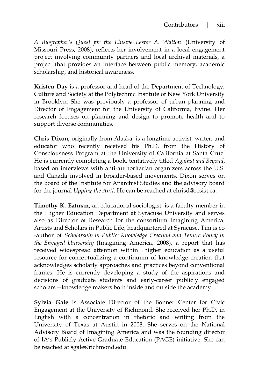*A Biographer's Quest for the Elusive Lester A. Walton* (University of Missouri Press, 2008), reflects her involvement in a local engagement project involving community partners and local archival materials, a project that provides an interface between public memory, academic scholarship, and historical awareness.

**Kristen Day** is a professor and head of the Department of Technology, Culture and Society at the Polytechnic Institute of New York University in Brooklyn. She was previously a professor of urban planning and Director of Engagement for the University of California, Irvine. Her research focuses on planning and design to promote health and to support diverse communities.

**Chris Dixon,** originally from Alaska, is a longtime activist, writer, and educator who recently received his Ph.D. from the History of Consciousness Program at the University of California at Santa Cruz. He is currently completing a book, tentatively titled *Against and Beyond*, based on interviews with anti-authoritarian organizers across the U.S. and Canada involved in broader-based movements. Dixon serves on the board of the Institute for Anarchist Studies and the advisory board for the journal *Upping the Anti*. He can be reached at chrisd@resist.ca.

**Timothy K. Eatman,** an educational sociologist, is a faculty member in the Higher Education Department at Syracuse University and serves also as Director of Research for the consortium Imagining America: Artists and Scholars in Public Life, headquartered at Syracuse. Tim is co -author of *Scholarship in Public: Knowledge Creation and Tenure Policy in the Engaged University* (Imagining America, 2008), a report that has received widespread attention within higher education as a useful resource for conceptualizing a continuum of knowledge creation that acknowledges scholarly approaches and practices beyond conventional frames. He is currently developing a study of the aspirations and decisions of graduate students and early-career publicly engaged scholars—knowledge makers both inside and outside the academy.

**Sylvia Gale** is Associate Director of the Bonner Center for Civic Engagement at the University of Richmond. She received her Ph.D. in English with a concentration in rhetoric and writing from the University of Texas at Austin in 2008. She serves on the National Advisory Board of Imagining America and was the founding director of IA's Publicly Active Graduate Education (PAGE) initiative. She can be reached at [sgale@richmond.edu.](file:///G:/AAF/GRADSCHL/Graduate%20School%20Press/ES%20Book/front%20&%20back%20matter/FINALS/sgale@richmond.edu)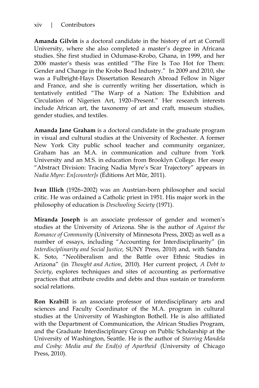**Amanda Gilvin** is a doctoral candidate in the history of art at Cornell University, where she also completed a master's degree in Africana studies. She first studied in Odumase-Krobo, Ghana, in 1999, and her 2006 master's thesis was entitled "The Fire Is Too Hot for Them: Gender and Change in the Krobo Bead Industry." In 2009 and 2010, she was a Fulbright-Hays Dissertation Research Abroad Fellow in Niger and France, and she is currently writing her dissertation, which is tentatively entitled "The Warp of a Nation: The Exhibition and Circulation of Nigerien Art, 1920–Present." Her research interests include African art, the taxonomy of art and craft, museum studies, gender studies, and textiles.

**Amanda Jane Graham** is a doctoral candidate in the graduate program in visual and cultural studies at the University of Rochester. A former New York City public school teacher and community organizer, Graham has an M.A. in communication and culture from York University and an M.S. in education from Brooklyn College. Her essay "Abstract Division: Tracing Nadia Myre's Scar Trajectory" appears in *Nadia Myre: En[counter]s* (Éditions Art Mûr, 2011).

**Ivan Illich** (1926–2002) was an Austrian-born philosopher and social critic. He was ordained a Catholic priest in 1951. His major work in the philosophy of education is *Deschooling Society* (1971).

**Miranda Joseph** is an associate professor of gender and women's studies at the University of Arizona. She is the author of *Against the Romance of Community* (University of Minnesota Press, 2002) as well as a number of essays, including "Accounting for Interdisciplinarity" (in *Interdisciplinarity and Social Justice,* SUNY Press, 2010) and, with Sandra K. Soto, "Neoliberalism and the Battle over Ethnic Studies in Arizona" (in *Thought and Action*, 2010). Her current project, *A Debt to Society*, explores techniques and sites of accounting as performative practices that attribute credits and debts and thus sustain or transform social relations.

**Ron Krabill** is an associate professor of interdisciplinary arts and sciences and Faculty Coordinator of the M.A. program in cultural studies at the University of Washington Bothell. He is also affiliated with the Department of Communication, the African Studies Program, and the Graduate Interdisciplinary Group on Public Scholarship at the University of Washington, Seattle. He is the author of *Starring Mandela and Cosby: Media and the End(s) of Apartheid* (University of Chicago Press, 2010).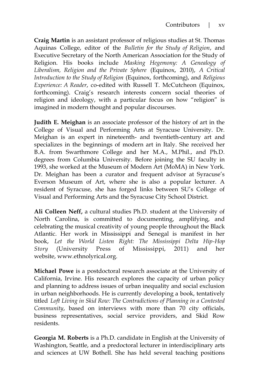**Craig Martin** is an assistant professor of religious studies at St. Thomas Aquinas College, editor of the *Bulletin for the Study of Religion*, and Executive Secretary of the North American Association for the Study of Religion. His books include *Masking Hegemony: A Genealogy of Liberalism, Religion and the Private Sphere* (Equinox, 2010), *A Critical Introduction to the Study of Religion* (Equinox, forthcoming), and *Religious Experience: A Reader*, co-edited with Russell T. McCutcheon (Equinox, forthcoming). Craig's research interests concern social theories of religion and ideology, with a particular focus on how "religion" is imagined in modern thought and popular discourses.

**Judith E. Meighan** is an associate professor of the history of art in the College of Visual and Performing Arts at Syracuse University. Dr. Meighan is an expert in nineteenth- and twentieth-century art and specializes in the beginnings of modern art in Italy. She received her B.A. from Swarthmore College and her M.A., M.Phil., and Ph.D. degrees from Columbia University. Before joining the SU faculty in 1993, she worked at the Museum of Modern Art (MoMA) in New York. Dr. Meighan has been a curator and frequent advisor at Syracuse's Everson Museum of Art, where she is also a popular lecturer. A resident of Syracuse, she has forged links between SU's College of Visual and Performing Arts and the Syracuse City School District.

**Ali Colleen Neff,** a cultural studies Ph.D. student at the University of North Carolina, is committed to documenting, amplifying, and celebrating the musical creativity of young people throughout the Black Atlantic. Her work in Mississippi and Senegal is manifest in her book, *Let the World Listen Right: The Mississippi Delta Hip-Hop Story* (University Press of Mississippi, 2011) and her website, www.ethnolyrical.org.

**Michael Powe** is a postdoctoral research associate at the University of California, Irvine. His research explores the capacity of urban policy and planning to address issues of urban inequality and social exclusion in urban neighborhoods. He is currently developing a book, tentatively titled *Loft Living in Skid Row: The Contradictions of Planning in a Contested Community*, based on interviews with more than 70 city officials, business representatives, social service providers, and Skid Row residents.

**Georgia M. Roberts** is a Ph.D. candidate in English at the University of Washington, Seattle, and a predoctoral lecturer in interdisciplinary arts and sciences at UW Bothell. She has held several teaching positions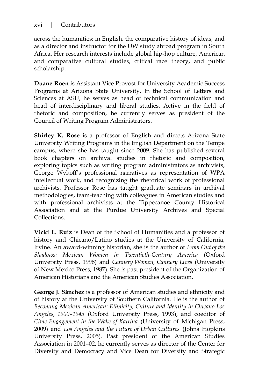across the humanities: in English, the comparative history of ideas, and as a director and instructor for the UW study abroad program in South Africa. Her research interests include global hip-hop culture, American and comparative cultural studies, critical race theory, and public scholarship.

**Duane Roen** is Assistant Vice Provost for University Academic Success Programs at Arizona State University. In the School of Letters and Sciences at ASU, he serves as head of technical communication and head of interdisciplinary and liberal studies. Active in the field of rhetoric and composition, he currently serves as president of the Council of Writing Program Administrators.

**Shirley K. Rose** is a professor of English and directs Arizona State University Writing Programs in the English Department on the Tempe campus, where she has taught since 2009. She has published several book chapters on archival studies in rhetoric and composition, exploring topics such as writing program administrators as archivists, George Wykoff's professional narratives as representation of WPA intellectual work, and recognizing the rhetorical work of professional archivists. Professor Rose has taught graduate seminars in archival methodologies, team-teaching with colleagues in American studies and with professional archivists at the Tippecanoe County Historical Association and at the Purdue University Archives and Special Collections.

**Vicki L. Ruiz** is Dean of the School of Humanities and a professor of history and Chicano/Latino studies at the University of California, Irvine. An award-winning historian, she is the author of *From Out of the Shadows: Mexican Women in Twentieth-Century America* (Oxford University Press, 1998) and *Cannery Women, Cannery Lives* (University of New Mexico Press, 1987). She is past president of the Organization of American Historians and the American Studies Association.

**George J. Sánchez** is a professor of American studies and ethnicity and of history at the University of Southern California. He is the author of *Becoming Mexican American: Ethnicity, Culture and Identity in Chicano Los Angeles, 1900–1945* (Oxford University Press, 1993), and coeditor of *Civic Engagement in the Wake of Katrina* (University of Michigan Press, 2009) and *Los Angeles and the Future of Urban Cultures* (Johns Hopkins University Press, 2005). Past president of the American Studies Association in 2001–02, he currently serves as director of the Center for Diversity and Democracy and Vice Dean for Diversity and Strategic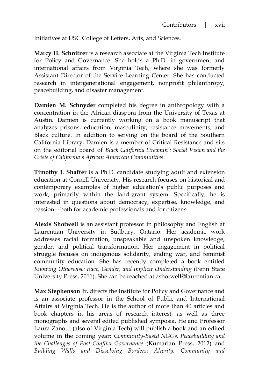Initiatives at USC College of Letters, Arts, and Sciences.

**Marcy H. Schnitzer** is a research associate at the Virginia Tech Institute for Policy and Governance. She holds a Ph.D. in government and international affairs from Virginia Tech, where she was formerly Assistant Director of the Service-Learning Center. She has conducted research in intergenerational engagement, nonprofit philanthropy, peacebuilding, and disaster management.

**Damien M. Schnyder** completed his degree in anthropology with a concentration in the African diaspora from the University of Texas at Austin. Damien is currently working on a book manuscript that analyzes prisons, education, masculinity, resistance movements, and Black culture. In addition to serving on the board of the Southern California Library, Damien is a member of Critical Resistance and sits on the editorial board of *Black California Dreamin': Social Vision and the Crisis of California's African American Communities*.

**Timothy J. Shaffer** is a Ph.D. candidate studying adult and extension education at Cornell University. His research focuses on historical and contemporary examples of higher education's public purposes and work, primarily within the land-grant system. Specifically, he is interested in questions about democracy, expertise, knowledge, and passion—both for academic professionals and for citizens.

**Alexis Shotwell** is an assistant professor in philosophy and English at Laurentian University in Sudbury, Ontario. Her academic work addresses racial formation, unspeakable and unspoken knowledge, gender, and political transformation. Her engagement in political struggle focuses on indigenous solidarity, ending war, and feminist community education. She has recently completed a book entitled *Knowing Otherwise: Race, Gender, and Implicit Understanding* (Penn State University Press, 2011). She can be reached at ashotwell@laurentian.ca.

**Max Stephenson Jr.** directs the Institute for Policy and Governance and is an associate professor in the School of Public and International Affairs at Virginia Tech. He is the author of more than 40 articles and book chapters in his areas of research interest, as well as three monographs and several edited published symposia. He and Professor Laura Zanotti (also of Virginia Tech) will publish a book and an edited volume in the coming year: *Community-Based NGOs, Peacebuilding and the Challenges of Post-Conflict Governance* (Kumarian Press, 2012) and *Building Walls and Dissolving Borders: Alterity, Community and*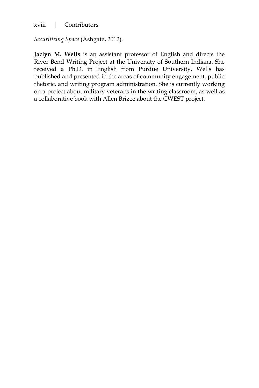xviii | Contributors

*Securitizing Space* (Ashgate, 2012).

**Jaclyn M. Wells** is an assistant professor of English and directs the River Bend Writing Project at the University of Southern Indiana. She received a Ph.D. in English from Purdue University. Wells has published and presented in the areas of community engagement, public rhetoric, and writing program administration. She is currently working on a project about military veterans in the writing classroom, as well as a collaborative book with Allen Brizee about the CWEST project.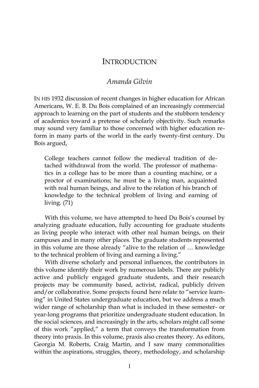#### **INTRODUCTION**

#### *Amanda Gilvin*

<span id="page-12-0"></span>IN HIS 1932 discussion of recent changes in higher education for African Americans, W. E. B. Du Bois complained of an increasingly commercial approach to learning on the part of students and the stubborn tendency of academics toward a pretense of scholarly objectivity. Such remarks may sound very familiar to those concerned with higher education reform in many parts of the world in the early twenty-first century. Du Bois argued,

College teachers cannot follow the medieval tradition of detached withdrawal from the world. The professor of mathematics in a college has to be more than a counting machine, or a proctor of examinations; he must be a living man, acquainted with real human beings, and alive to the relation of his branch of knowledge to the technical problem of living and earning of living. (71)

With this volume, we have attempted to heed Du Bois's counsel by analyzing graduate education, fully accounting for graduate students as living people who interact with other real human beings, on their campuses and in many other places. The graduate students represented in this volume are those already "alive to the relation of … knowledge to the technical problem of living and earning a living."

With diverse scholarly and personal influences, the contributors in this volume identify their work by numerous labels. There are publicly active and publicly engaged graduate students, and their research projects may be community based, activist, radical, publicly driven and/or collaborative. Some projects found here relate to "service learning" in United States undergraduate education, but we address a much wider range of scholarship than what is included in these semester- or year-long programs that prioritize undergraduate student education. In the social sciences, and increasingly in the arts, scholars might call some of this work "applied," a term that conveys the transformation from theory into praxis. In this volume, praxis also creates theory. As editors, Georgia M. Roberts, Craig Martin, and I saw many commonalities within the aspirations, struggles, theory, methodology, and scholarship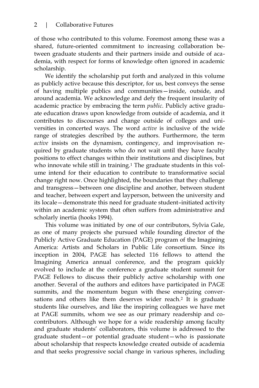of those who contributed to this volume. Foremost among these was a shared, future-oriented commitment to increasing collaboration between graduate students and their partners inside and outside of academia, with respect for forms of knowledge often ignored in academic scholarship.

We identify the scholarship put forth and analyzed in this volume as publicly active because this descriptor, for us, best conveys the sense of having multiple publics and communities—inside, outside, and around academia. We acknowledge and defy the frequent insularity of academic practice by embracing the term *public*. Publicly active graduate education draws upon knowledge from outside of academia, and it contributes to discourses and change outside of colleges and universities in concerted ways. The word *active* is inclusive of the wide range of strategies described by the authors. Furthermore, the term *active* insists on the dynamism, contingency, and improvisation required by graduate students who do not wait until they have faculty positions to effect changes within their institutions and disciplines, but who innovate while still in training.<sup>1</sup> The graduate students in this volume intend for their education to contribute to transformative social change right now. Once highlighted, the boundaries that they challenge and transgress—between one discipline and another, between student and teacher, between expert and layperson, between the university and its locale—demonstrate this need for graduate student–initiated activity within an academic system that often suffers from administrative and scholarly inertia (hooks 1994).

This volume was initiated by one of our contributors, Sylvia Gale, as one of many projects she pursued while founding director of the Publicly Active Graduate Education (PAGE) program of the Imagining America: Artists and Scholars in Public Life consortium. Since its inception in 2004, PAGE has selected 116 fellows to attend the Imagining America annual conference, and the program quickly evolved to include at the conference a graduate student summit for PAGE Fellows to discuss their publicly active scholarship with one another. Several of the authors and editors have participated in PAGE summits, and the momentum begun with these energizing conversations and others like them deserves wider reach.<sup>2</sup> It is graduate students like ourselves, and like the inspiring colleagues we have met at PAGE summits, whom we see as our primary readership and cocontributors. Although we hope for a wide readership among faculty and graduate students' collaborators, this volume is addressed to the graduate student—or potential graduate student—who is passionate about scholarship that respects knowledge created outside of academia and that seeks progressive social change in various spheres, including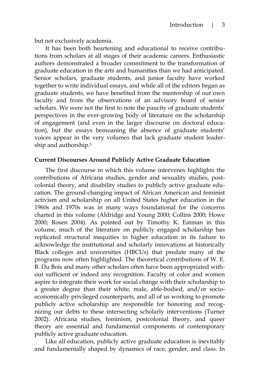but not exclusively academia.

It has been both heartening and educational to receive contributions from scholars at all stages of their academic careers. Enthusiastic authors demonstrated a broader commitment to the transformation of graduate education in the arts and humanities than we had anticipated. Senior scholars, graduate students, and junior faculty have worked together to write individual essays, and while all of the editors began as graduate students, we have benefited from the mentorship of our own faculty and from the observations of an advisory board of senior scholars. We were not the first to note the paucity of graduate students' perspectives in the ever-growing body of literature on the scholarship of engagement (and even in the larger discourse on doctoral education), but the essays bemoaning the absence of graduate students' voices appear in the very volumes that lack graduate student leadership and authorship.<sup>3</sup>

#### **Current Discourses Around Publicly Active Graduate Education**

The first discourse in which this volume intervenes highlights the contributions of Africana studies, gender and sexuality studies, postcolonial theory, and disability studies to publicly active graduate education. The ground-changing impact of African American and feminist activism and scholarship on all United States higher education in the 1960s and 1970s was in many ways foundational for the concerns charted in this volume (Aldridge and Young 2000; Collins 2000; Howe 2000; Rosen 2004). As pointed out by Timothy K. Eatman in this volume, much of the literature on publicly engaged scholarship has replicated structural inequities in higher education in its failure to acknowledge the institutional and scholarly innovations at historically Black colleges and universities (HBCUs) that predate many of the programs now often highlighted. The theoretical contributions of W. E. B. Du Bois and many other scholars often have been appropriated without sufficient or indeed any recognition. Faculty of color and women aspire to integrate their work for social change with their scholarship to a greater degree than their white, male, able-bodied, and/or socioeconomically privileged counterparts, and all of us working to promote publicly active scholarship are responsible for honoring and recognizing our debts to these intersecting scholarly interventions (Turner 2002). Africana studies, feminism, postcolonial theory, and queer theory are essential and fundamental components of contemporary publicly active graduate education.

Like all education, publicly active graduate education is inevitably and fundamentally shaped by dynamics of race, gender, and class. In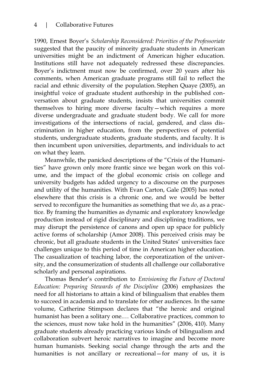1990, Ernest Boyer's *Scholarship Reconsidered: Priorities of the Professoriate* suggested that the paucity of minority graduate students in American universities might be an indictment of American higher education. Institutions still have not adequately redressed these discrepancies. Boyer's indictment must now be confirmed, over 20 years after his comments, when American graduate programs still fail to reflect the racial and ethnic diversity of the population. Stephen Quaye (2005), an insightful voice of graduate student authorship in the published conversation about graduate students, insists that universities commit themselves to hiring more diverse faculty—which requires a more diverse undergraduate and graduate student body. We call for more investigations of the intersections of racial, gendered, and class discrimination in higher education, from the perspectives of potential students, undergraduate students, graduate students, and faculty. It is then incumbent upon universities, departments, and individuals to act on what they learn.

Meanwhile, the panicked descriptions of the "Crisis of the Humanities" have grown only more frantic since we began work on this volume, and the impact of the global economic crisis on college and university budgets has added urgency to a discourse on the purposes and utility of the humanities. With Evan Carton, Gale (2005) has noted elsewhere that this crisis is a chronic one, and we would be better served to reconfigure the humanities as something that we *do*, as a practice. By framing the humanities as dynamic and exploratory knowledge production instead of rigid disciplinary and disciplining traditions, we may disrupt the persistence of canons and open up space for publicly active forms of scholarship (Amor 2008). This perceived crisis may be chronic, but all graduate students in the United States' universities face challenges unique to this period of time in American higher education. The casualization of teaching labor, the corporatization of the university, and the consumerization of students all challenge our collaborative scholarly and personal aspirations.

Thomas Bender's contribution to *Envisioning the Future of Doctoral Education: Preparing Stewards of the Discipline* (2006) emphasizes the need for all historians to attain a kind of bilingualism that enables them to succeed in academia and to translate for other audiences. In the same volume, Catherine Stimpson declares that "the heroic and original humanist has been a solitary one.… Collaborative practices, common to the sciences, must now take hold in the humanities" (2006, 410). Many graduate students already practicing various kinds of bilingualism and collaboration subvert heroic narratives to imagine and become more human humanists. Seeking social change through the arts and the humanities is not ancillary or recreational—for many of us, it is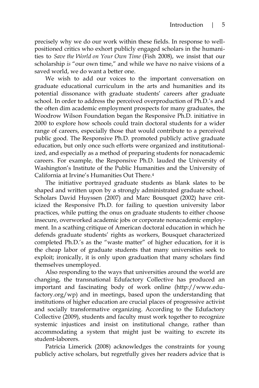precisely why we do our work within these fields. In response to wellpositioned critics who exhort publicly engaged scholars in the humanities to *Save the World on Your Own Time* (Fish 2008), we insist that our scholarship *is* "our own time," and while we have no naive visions of a saved world, we do want a better one.

We wish to add our voices to the important conversation on graduate educational curriculum in the arts and humanities and its potential dissonance with graduate students' careers after graduate school. In order to address the perceived overproduction of Ph.D.'s and the often dim academic employment prospects for many graduates, the Woodrow Wilson Foundation began the Responsive Ph.D. initiative in 2000 to explore how schools could train doctoral students for a wider range of careers, especially those that would contribute to a perceived public good. The Responsive Ph.D. promoted publicly active graduate education, but only once such efforts were organized and institutionalized, and especially as a method of preparing students for nonacademic careers. For example, the Responsive Ph.D. lauded the University of Washington's Institute of the Public Humanities and the University of California at Irvine's Humanities Out There.<sup>4</sup>

The initiative portrayed graduate students as blank slates to be shaped and written upon by a strongly administrated graduate school. Scholars David Huyssen (2007) and Marc Bousquet (2002) have criticized the Responsive Ph.D. for failing to question university labor practices, while putting the onus on graduate students to either choose insecure, overworked academic jobs or corporate nonacademic employment. In a scathing critique of American doctoral education in which he defends graduate students' rights as workers, Bousquet characterized completed Ph.D.'s as the "waste matter" of higher education, for it is the cheap labor of graduate students that many universities seek to exploit; ironically, it is only upon graduation that many scholars find themselves unemployed.

Also responding to the ways that universities around the world are changing, the transnational Edufactory Collective has produced an important and fascinating body of work online (http://www.edufactory.org/wp) and in meetings, based upon the understanding that institutions of higher education are crucial places of progressive activist and socially transformative organizing. According to the Edufactory Collective (2009), students and faculty must work together to recognize systemic injustices and insist on institutional change, rather than accommodating a system that might just be waiting to excrete its student-laborers.

Patricia Limerick (2008) acknowledges the constraints for young publicly active scholars, but regretfully gives her readers advice that is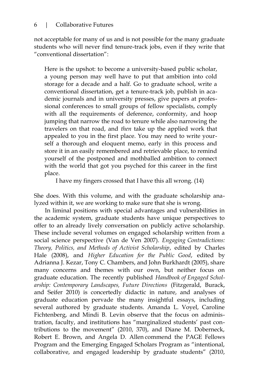not acceptable for many of us and is not possible for the many graduate students who will never find tenure-track jobs, even if they write that "conventional dissertation":

Here is the upshot: to become a university-based public scholar, a young person may well have to put that ambition into cold storage for a decade and a half. Go to graduate school, write a conventional dissertation, get a tenure-track job, publish in academic journals and in university presses, give papers at professional conferences to small groups of fellow specialists, comply with all the requirements of deference, conformity, and hoop jumping that narrow the road to tenure while also narrowing the travelers on that road, and *then* take up the applied work that appealed to you in the first place. You may need to write yourself a thorough and eloquent memo, early in this process and store it in an easily remembered and retrievable place, to remind yourself of the postponed and mothballed ambition to connect with the world that got you psyched for this career in the first place.

I have my fingers crossed that I have this all wrong. (14)

She does. With this volume, and with the graduate scholarship analyzed within it, we are working to make sure that she is wrong.

In liminal positions with special advantages and vulnerabilities in the academic system, graduate students have unique perspectives to offer to an already lively conversation on publicly active scholarship. These include several volumes on engaged scholarship written from a social science perspective (Van de Ven 2007). *Engaging Contradictions: Theory, Politics, and Methods of Activist Scholarship*, edited by Charles Hale (2008), and *Higher Education for the Public Good*, edited by Adrianna J. Kezar, Tony C. Chambers, and John Burkhardt (2005), share many concerns and themes with our own, but neither focus on graduate education. The recently published *Handbook of Engaged Scholarship: Contemporary Landscapes, Future Directions* (Fitzgerald, Burack, and Seifer 2010) is concertedly didactic in nature, and analyses of graduate education pervade the many insightful essays, including several authored by graduate students. Amanda L. Voyel, Caroline Fichtenberg, and Mindi B. Levin observe that the focus on administration, faculty, and institutions has "marginalized students' past contributions to the movement" (2010, 370), and Diane M. Doberneck, Robert E. Brown, and Angela D. Allen commend the PAGE Fellows Program and the Emerging Engaged Scholars Program as "intentional, collaborative, and engaged leadership by graduate students" (2010,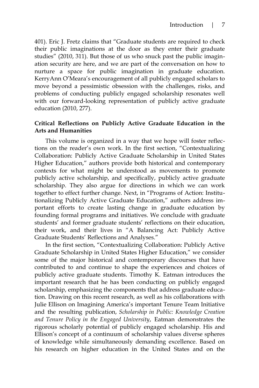401). Eric J. Fretz claims that "Graduate students are required to check their public imaginations at the door as they enter their graduate studies" (2010, 311). But those of us who snuck past the public imagination security are here, and we are part of the conversation on how to nurture a space for public imagination in graduate education. KerryAnn O'Meara's encouragement of all publicly engaged scholars to move beyond a pessimistic obsession with the challenges, risks, and problems of conducting publicly engaged scholarship resonates well with our forward-looking representation of publicly active graduate education (2010, 277).

#### **Critical Reflections on Publicly Active Graduate Education in the Arts and Humanities**

This volume is organized in a way that we hope will foster reflections on the reader's own work. In the first section, "Contextualizing Collaboration: Publicly Active Graduate Scholarship in United States Higher Education," authors provide both historical and contemporary contexts for what might be understood as movements to promote publicly active scholarship, and specifically, publicly active graduate scholarship. They also argue for directions in which we can work together to effect further change. Next, in "Programs of Action: Institutionalizing Publicly Active Graduate Education," authors address important efforts to create lasting change in graduate education by founding formal programs and initiatives. We conclude with graduate students' and former graduate students' reflections on their education, their work, and their lives in "A Balancing Act: Publicly Active Graduate Students' Reflections and Analyses."

In the first section, "Contextualizing Collaboration: Publicly Active Graduate Scholarship in United States Higher Education," we consider some of the major historical and contemporary discourses that have contributed to and continue to shape the experiences and choices of publicly active graduate students. Timothy K. Eatman introduces the important research that he has been conducting on publicly engaged scholarship, emphasizing the components that address graduate education. Drawing on this recent research, as well as his collaborations with Julie Ellison on Imagining America's important Tenure Team Initiative and the resulting publication, *Scholarship in Public: Knowledge Creation and Tenure Policy in the Engaged University*, Eatman demonstrates the rigorous scholarly potential of publicly engaged scholarship. His and Ellison's concept of a continuum of scholarship values diverse spheres of knowledge while simultaneously demanding excellence. Based on his research on higher education in the United States and on the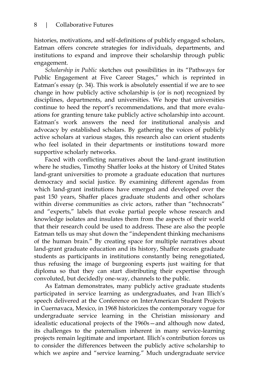histories, motivations, and self-definitions of publicly engaged scholars, Eatman offers concrete strategies for individuals, departments, and institutions to expand and improve their scholarship through public engagement.

*Scholarship in Public* sketches out possibilities in its "Pathways for Public Engagement at Five Career Stages," which is reprinted in Eatman's essay (p. 34). This work is absolutely essential if we are to see change in how publicly active scholarship is (or is not) recognized by disciplines, departments, and universities. We hope that universities continue to heed the report's recommendations, and that more evaluations for granting tenure take publicly active scholarship into account. Eatman's work answers the need for institutional analysis and advocacy by established scholars. By gathering the voices of publicly active scholars at various stages, this research also can orient students who feel isolated in their departments or institutions toward more supportive scholarly networks.

Faced with conflicting narratives about the land-grant institution where he studies, Timothy Shaffer looks at the history of United States land-grant universities to promote a graduate education that nurtures democracy and social justice. By examining different agendas from which land-grant institutions have emerged and developed over the past 150 years, Shaffer places graduate students and other scholars within diverse communities as civic actors, rather than "technocrats" and "experts," labels that evoke partial people whose research and knowledge isolates and insulates them from the aspects of their world that their research could be used to address. These are also the people Eatman tells us may shut down the "independent thinking mechanisms of the human brain." By creating space for multiple narratives about land-grant graduate education and its history, Shaffer recasts graduate students as participants in institutions constantly being renegotiated, thus refusing the image of burgeoning experts just waiting for that diploma so that they can start distributing their expertise through convoluted, but decidedly one-way, channels to the public.

As Eatman demonstrates, many publicly active graduate students participated in service learning as undergraduates, and Ivan Illich's speech delivered at the Conference on InterAmerican Student Projects in Cuernavaca, Mexico, in 1968 historicizes the contemporary vogue for undergraduate service learning in the Christian missionary and idealistic educational projects of the 1960s—and although now dated, its challenges to the paternalism inherent in many service-learning projects remain legitimate and important. Illich's contribution forces us to consider the differences between the publicly active scholarship to which we aspire and "service learning." Much undergraduate service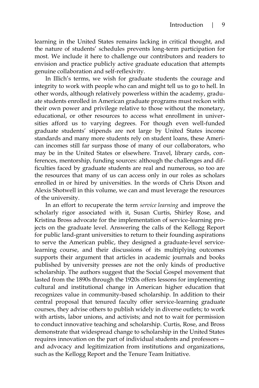learning in the United States remains lacking in critical thought, and the nature of students' schedules prevents long-term participation for most. We include it here to challenge our contributors and readers to envision and practice publicly active graduate education that attempts genuine collaboration and self-reflexivity.

In Illich's terms, we wish for graduate students the courage and integrity to work with people who can and might tell us to go to hell. In other words, although relatively powerless within the academy, graduate students enrolled in American graduate programs must reckon with their own power and privilege relative to those without the monetary, educational, or other resources to access what enrollment in universities afford us to varying degrees. For though even well-funded graduate students' stipends are not large by United States income standards and many more students rely on student loans, these American incomes still far surpass those of many of our collaborators, who may be in the United States or elsewhere. Travel, library cards, conferences, mentorship, funding sources: although the challenges and difficulties faced by graduate students are real and numerous, so too are the resources that many of us can access only in our roles as scholars enrolled in or hired by universities. In the words of Chris Dixon and Alexis Shotwell in this volume, we can and must leverage the resources of the university.

In an effort to recuperate the term *service learning* and improve the scholarly rigor associated with it, Susan Curtis, Shirley Rose, and Kristina Bross advocate for the implementation of service-learning projects on the graduate level. Answering the calls of the Kellogg Report for public land-grant universities to return to their founding aspirations to serve the American public, they designed a graduate-level servicelearning course, and their discussions of its multiplying outcomes supports their argument that articles in academic journals and books published by university presses are not the only kinds of productive scholarship. The authors suggest that the Social Gospel movement that lasted from the 1890s through the 1920s offers lessons for implementing cultural and institutional change in American higher education that recognizes value in community-based scholarship. In addition to their central proposal that tenured faculty offer service-learning graduate courses, they advise others to publish widely in diverse outlets; to work with artists, labor unions, and activists; and not to wait for permission to conduct innovative teaching and scholarship. Curtis, Rose, and Bross demonstrate that widespread change to scholarship in the United States requires innovation on the part of individual students and professors and advocacy and legitimization from institutions and organizations, such as the Kellogg Report and the Tenure Team Initiative.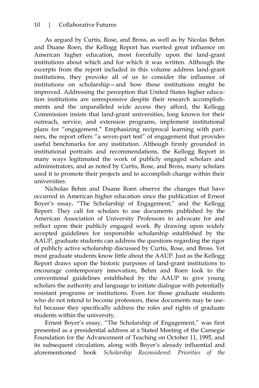As argued by Curtis, Rose, and Bross, as well as by Nicolas Behm and Duane Roen, the Kellogg Report has exerted great influence on American higher education, most forcefully upon the land-grant institutions about which and for which it was written. Although the excerpts from the report included in this volume address land-grant institutions, they provoke all of us to consider the influence of institutions on scholarship—and how those institutions might be improved. Addressing the perception that United States higher education institutions are unresponsive despite their research accomplishments and the unparalleled wide access they afford, the Kellogg Commission insists that land-grant universities, long known for their outreach, service, and extension programs, implement institutional plans for "engagement." Emphasizing reciprocal learning with partners, the report offers "a seven-part test" of engagement that provides useful benchmarks for any institution. Although firmly grounded in institutional portraits and recommendations, the Kellogg Report in many ways legitimated the work of publicly engaged scholars and administrators, and as noted by Curtis, Rose, and Bross, many scholars used it to promote their projects and to accomplish change within their universities.

Nicholas Behm and Duane Roen observe the changes that have occurred in American higher education since the publication of Ernest Boyer's essay, "The Scholarship of Engagement," and the Kellogg Report. They call for scholars to use documents published by the American Association of University Professors to advocate for and reflect upon their publicly engaged work. By drawing upon widely accepted guidelines for responsible scholarship established by the AAUP, graduate students can address the questions regarding the rigor of publicly active scholarship discussed by Curtis, Rose, and Bross. Yet most graduate students know little about the AAUP. Just as the Kellogg Report draws upon the historic purposes of land-grant institutions to encourage contemporary innovation, Behm and Roen look to the conventional guidelines established by the AAUP to give young scholars the authority and language to initiate dialogue with potentially resistant programs or institutions. Even for those graduate students who do not intend to become professors, these documents may be useful because they specifically address the roles and rights of graduate students within the university.

Ernest Boyer's essay, "The Scholarship of Engagement," was first presented as a presidential address at a Stated Meeting of the Carnegie Foundation for the Advancement of Teaching on October 11, 1995, and its subsequent circulation, along with Boyer's already influential and aforementioned book *Scholarship Reconsidered: Priorities of the*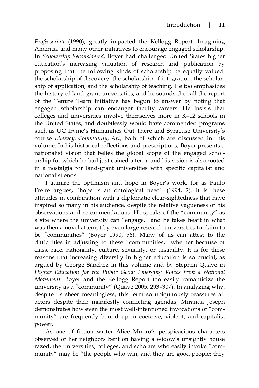*Professoriate* (1990), greatly impacted the Kellogg Report, Imagining America, and many other initiatives to encourage engaged scholarship. In *Scholarship Reconsidered*, Boyer had challenged United States higher education's increasing valuation of research and publication by proposing that the following kinds of scholarship be equally valued: the scholarship of discovery, the scholarship of integration, the scholarship of application, and the scholarship of teaching. He too emphasizes the history of land-grant universities, and he sounds the call the report of the Tenure Team Initiative has begun to answer by noting that engaged scholarship can endanger faculty careers. He insists that colleges and universities involve themselves more in K–12 schools in the United States, and doubtlessly would have commended programs such as UC Irvine's Humanities Out There and Syracuse University's course *Literacy, Community, Art*, both of which are discussed in this volume. In his historical reflections and prescriptions, Boyer presents a nationalist vision that belies the global scope of the engaged scholarship for which he had just coined a term, and his vision is also rooted in a nostalgia for land-grant universities with specific capitalist and nationalist ends.

I admire the optimism and hope in Boyer's work, for as Paulo Freire argues, "hope is an ontological need" (1994, 2). It is these attitudes in combination with a diplomatic clear-sightedness that have inspired so many in his audience, despite the relative vagueness of his observations and recommendations. He speaks of the "community" as a site where the university can "engage," and he takes heart in what was then a novel attempt by even large research universities to claim to be "communities" (Boyer 1990, 56). Many of us can attest to the difficulties in adjusting to these "communities," whether because of class, race, nationality, culture, sexuality, or disability. It is for these reasons that increasing diversity in higher education is so crucial, as argued by George Sánchez in this volume and by Stephen Quaye in *Higher Education for the Public Good: Emerging Voices from a National Movement.* Boyer and the Kellogg Report too easily romanticize the university as a "community" (Quaye 2005, 293–307). In analyzing why, despite its sheer meaningless, this term so ubiquitously reassures all actors despite their manifestly conflicting agendas, Miranda Joseph demonstrates how even the most well-intentioned invocations of "community" are frequently bound up in coercive, violent, and capitalist power.

As one of fiction writer Alice Munro's perspicacious characters observed of her neighbors bent on having a widow's unsightly house razed, the universities, colleges, and scholars who easily invoke "community" may be "the people who win, and they are good people; they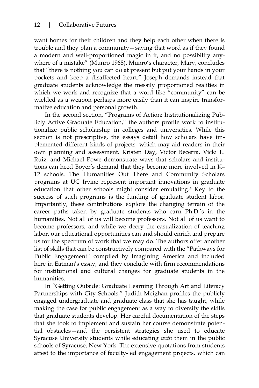want homes for their children and they help each other when there is trouble and they plan a community—saying that word as if they found a modern and well-proportioned magic in it, and no possibility anywhere of a mistake" (Munro 1968). Munro's character, Mary, concludes that "there is nothing you can do at present but put your hands in your pockets and keep a disaffected heart." Joseph demands instead that graduate students acknowledge the messily proportioned realities in which we work and recognize that a word like "community" can be wielded as a weapon perhaps more easily than it can inspire transformative education and personal growth.

In the second section, "Programs of Action: Institutionalizing Publicly Active Graduate Education," the authors profile work to institutionalize public scholarship in colleges and universities. While this section is not prescriptive, the essays detail how scholars have implemented different kinds of projects, which may aid readers in their own planning and assessment. Kristen Day, Victor Becerra, Vicki L. Ruiz, and Michael Powe demonstrate ways that scholars and institutions can heed Boyer's demand that they become more involved in K– 12 schools. The Humanities Out There and Community Scholars programs at UC Irvine represent important innovations in graduate education that other schools might consider emulating.<sup>5</sup> Key to the success of such programs is the funding of graduate student labor. Importantly, these contributions explore the changing terrain of the career paths taken by graduate students who earn Ph.D.'s in the humanities. Not all of us will become professors. Not all of us want to become professors, and while we decry the casualization of teaching labor, our educational opportunities can and should enrich and prepare us for the spectrum of work that we may do. The authors offer another list of skills that can be constructively compared with the "Pathways for Public Engagement" compiled by Imagining America and included here in Eatman's essay, and they conclude with firm recommendations for institutional and cultural changes for graduate students in the humanities.

In "Getting Outside: Graduate Learning Through Art and Literacy Partnerships with City Schools," Judith Meighan profiles the publicly engaged undergraduate and graduate class that she has taught, while making the case for public engagement as a way to diversify the skills that graduate students develop. Her careful documentation of the steps that she took to implement and sustain her course demonstrate potential obstacles—and the persistent strategies she used to educate Syracuse University students while educating *with* them in the public schools of Syracuse, New York. The extensive quotations from students attest to the importance of faculty-led engagement projects, which can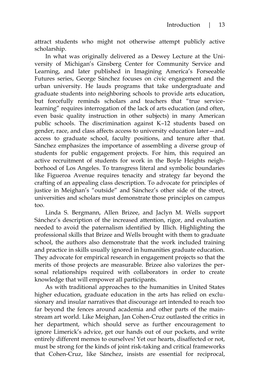attract students who might not otherwise attempt publicly active scholarship.

In what was originally delivered as a Dewey Lecture at the University of Michigan's Ginsberg Center for Community Service and Learning, and later published in Imagining America's Forseeable Futures series, George Sánchez focuses on civic engagement and the urban university. He lauds programs that take undergraduate and graduate students into neighboring schools to provide arts education, but forcefully reminds scholars and teachers that "true servicelearning" requires interrogation of the lack of arts education (and often, even basic quality instruction in other subjects) in many American public schools. The discrimination against K–12 students based on gender, race, and class affects access to university education later—and access to graduate school, faculty positions, and tenure after that. Sánchez emphasizes the importance of assembling a diverse group of students for public engagement projects. For him, this required an active recruitment of students for work in the Boyle Heights neighborhood of Los Angeles. To transgress literal and symbolic boundaries like Figueroa Avenue requires tenacity and strategy far beyond the crafting of an appealing class description. To advocate for principles of justice in Meighan's "outside" and Sánchez's other side of the street, universities and scholars must demonstrate those principles on campus too.

Linda S. Bergmann, Allen Brizee, and Jaclyn M. Wells support Sánchez's description of the increased attention, rigor, and evaluation needed to avoid the paternalism identified by Illich. Highlighting the professional skills that Brizee and Wells brought with them to graduate school, the authors also demonstrate that the work included training and practice in skills usually ignored in humanities graduate education. They advocate for empirical research in engagement projects so that the merits of those projects are measurable. Brizee also valorizes the personal relationships required with collaborators in order to create knowledge that will empower all participants.

As with traditional approaches to the humanities in United States higher education, graduate education in the arts has relied on exclusionary and insular narratives that discourage art intended to reach too far beyond the fences around academia and other parts of the mainstream art world. Like Meighan, Jan Cohen-Cruz outlasted the critics in her department, which should serve as further encouragement to ignore Limerick's advice, get our hands out of our pockets, and write entirely different memos to ourselves! Yet our hearts, disaffected or not, must be strong for the kinds of joint risk-taking and critical frameworks that Cohen-Cruz, like Sánchez, insists are essential for reciprocal,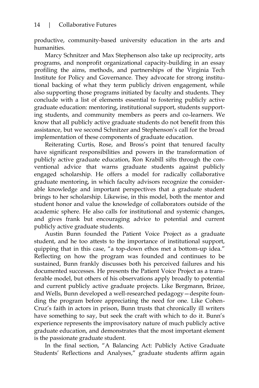productive, community-based university education in the arts and humanities.

Marcy Schnitzer and Max Stephenson also take up reciprocity, arts programs, and nonprofit organizational capacity-building in an essay profiling the aims, methods, and partnerships of the Virginia Tech Institute for Policy and Governance. They advocate for strong institutional backing of what they term publicly driven engagement, while also supporting those programs initiated by faculty and students. They conclude with a list of elements essential to fostering publicly active graduate education: mentoring, institutional support, students supporting students, and community members as peers and co-learners. We know that all publicly active graduate students do not benefit from this assistance, but we second Schnitzer and Stephenson's call for the broad implementation of these components of graduate education.

Reiterating Curtis, Rose, and Bross's point that tenured faculty have significant responsibilities and powers in the transformation of publicly active graduate education, Ron Krabill sifts through the conventional advice that warns graduate students against publicly engaged scholarship. He offers a model for radically collaborative graduate mentoring, in which faculty advisors recognize the considerable knowledge and important perspectives that a graduate student brings to her scholarship. Likewise, in this model, both the mentor and student honor and value the knowledge of collaborators outside of the academic sphere. He also calls for institutional and systemic changes, and gives frank but encouraging advice to potential and current publicly active graduate students.

Austin Bunn founded the Patient Voice Project as a graduate student, and he too attests to the importance of institutional support, quipping that in this case, "a top-down ethos met a bottom-up idea." Reflecting on how the program was founded and continues to be sustained, Bunn frankly discusses both his perceived failures and his documented successes. He presents the Patient Voice Project as a transferable model, but others of his observations apply broadly to potential and current publicly active graduate projects. Like Bergmann, Brizee, and Wells, Bunn developed a well-researched pedagogy—despite founding the program before appreciating the need for one. Like Cohen-Cruz's faith in actors in prison, Bunn trusts that chronically ill writers have something to say, but seek the craft with which to do it. Bunn's experience represents the improvisatory nature of much publicly active graduate education, and demonstrates that the most important element is the passionate graduate student.

In the final section, "A Balancing Act: Publicly Active Graduate Students' Reflections and Analyses," graduate students affirm again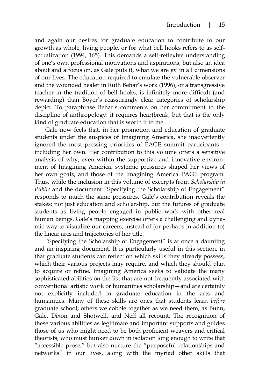and again our desires for graduate education to contribute to our growth as whole, living people, or for what bell hooks refers to as selfactualization (1994, 165). This demands a self-reflexive understanding of one's own professional motivations and aspirations, but also an idea about and a focus on, as Gale puts it, what we are *for* in all dimensions of our lives. The education required to emulate the vulnerable observer and the wounded healer in Ruth Behar's work (1996), or a transgressive teacher in the tradition of bell hooks, is infinitely more difficult (and rewarding) than Boyer's reassuringly clear categories of scholarship depict. To paraphrase Behar's comments on her commitment to the discipline of anthropology: it requires heartbreak, but that is the only kind of graduate education that is worth it to me.

Gale now feels that, in her promotion and education of graduate students under the auspices of Imagining America, she inadvertently ignored the most pressing priorities of PAGE summit participants including her own. Her contribution to this volume offers a sensitive analysis of why, even within the supportive and innovative environment of Imagining America, systemic pressures shaped her views of her own goals, and those of the Imagining America PAGE program. Thus, while the inclusion in this volume of excerpts from *Scholarship in Public* and the document "Specifying the Scholarship of Engagement" responds to much the same pressures, Gale's contribution reveals the stakes: not just education and scholarship, but the futures of graduate students as living people engaged in public work with other real human beings. Gale's mapping exercise offers a challenging and dynamic way to visualize our careers, instead of (or perhaps in addition to) the linear arcs and trajectories of her title.

"Specifying the Scholarship of Engagement" is at once a daunting and an inspiring document. It is particularly useful in this section, in that graduate students can reflect on which skills they already possess, which their various projects may require, and which they should plan to acquire or refine. Imagining America seeks to validate the many sophisticated abilities on the list that are not frequently associated with conventional artistic work or humanities scholarship—and are certainly not explicitly included in graduate education in the arts and humanities. Many of these skills are ones that students learn *before*  graduate school; others we cobble together as we need them, as Bunn, Gale, Dixon and Shotwell, and Neff all recount. The recognition of these various abilities as legitimate and important supports and guides those of us who might need to be both proficient weavers and critical theorists, who must hunker down in isolation long enough to write that "accessible prose," but also nurture the "purposeful relationships and networks" in our lives, along with the myriad other skills that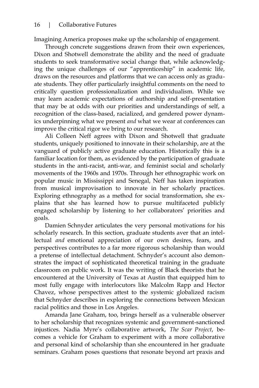Imagining America proposes make up the scholarship of engagement.

Through concrete suggestions drawn from their own experiences, Dixon and Shotwell demonstrate the ability and the need of graduate students to seek transformative social change that, while acknowledging the unique challenges of our "apprenticeship" in academic life, draws on the resources and platforms that we can access only as graduate students. They offer particularly insightful comments on the need to critically question professionalization and individualism. While we may learn academic expectations of authorship and self-presentation that may be at odds with our priorities and understandings of self, a recognition of the class-based, racialized, and gendered power dynamics underpinning what we present *and* what we wear at conferences can improve the critical rigor we bring to our research.

Ali Colleen Neff agrees with Dixon and Shotwell that graduate students, uniquely positioned to innovate in their scholarship, are at the vanguard of publicly active graduate education. Historically this is a familiar location for them, as evidenced by the participation of graduate students in the anti-racist, anti-war, and feminist social and scholarly movements of the 1960s and 1970s. Through her ethnographic work on popular music in Mississippi and Senegal, Neff has taken inspiration from musical improvisation to innovate in her scholarly practices. Exploring ethnography as a method for social transformation, she explains that she has learned how to pursue multifaceted publicly engaged scholarship by listening to her collaborators' priorities and goals.

Damien Schnyder articulates the very personal motivations for his scholarly research. In this section, graduate students aver that an intellectual *and* emotional appreciation of our own desires, fears, and perspectives contributes to a far more rigorous scholarship than would a pretense of intellectual detachment. Schnyder's account also demonstrates the impact of sophisticated theoretical training in the graduate classroom on public work. It was the writing of Black theorists that he encountered at the University of Texas at Austin that equipped him to most fully engage with interlocutors like Malcolm Rapp and Hector Chavez, whose perspectives attest to the systemic globalized racism that Schnyder describes in exploring the connections between Mexican racial politics and those in Los Angeles.

Amanda Jane Graham, too, brings herself as a vulnerable observer to her scholarship that recognizes systemic and government-sanctioned injustices. Nadia Myre's collaborative artwork, *The Scar Project*, becomes a vehicle for Graham to experiment with a more collaborative and personal kind of scholarship than she encountered in her graduate seminars. Graham poses questions that resonate beyond art praxis and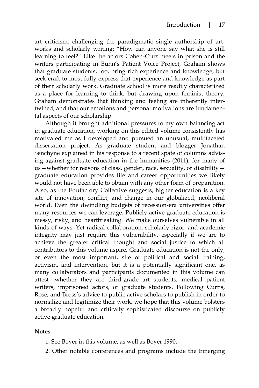art criticism, challenging the paradigmatic single authorship of artworks and scholarly writing: "How can anyone say what she is still learning to feel?" Like the actors Cohen-Cruz meets in prison and the writers participating in Bunn's Patient Voice Project, Graham shows that graduate students, too, bring rich experience and knowledge, but seek craft to most fully express that experience and knowledge as part of their scholarly work. Graduate school is more readily characterized as a place for learning to think, but drawing upon feminist theory, Graham demonstrates that thinking and feeling are inherently intertwined, and that our emotions and personal motivations are fundamental aspects of our scholarship.

Although it brought additional pressures to my own balancing act in graduate education, working on this edited volume consistently has motivated me as I developed and pursued an unusual, multifaceted dissertation project. As graduate student and blogger Jonathan Senchyne explained in his response to a recent spate of columns advising against graduate education in the humanities (2011), for many of us—whether for reasons of class, gender, race, sexuality, or disability graduate education provides life and career opportunities we likely would not have been able to obtain with any other form of preparation. Also, as the Edufactory Collective suggests, higher education is a key site of innovation, conflict, and change in our globalized, neoliberal world. Even the dwindling budgets of recession-era universities offer many resources we can leverage. Publicly active graduate education is messy, risky, and heartbreaking. We make ourselves vulnerable in all kinds of ways. Yet radical collaboration, scholarly rigor, and academic integrity may just require this vulnerability, especially if we are to achieve the greater critical thought and social justice to which all contributors to this volume aspire. Graduate education is not the only, or even the most important, site of political and social training, activism, and intervention, but it is a potentially significant one, as many collaborators and participants documented in this volume can attest—whether they are third-grade art students, medical patient writers, imprisoned actors, or graduate students. Following Curtis, Rose, and Bross's advice to public active scholars to publish in order to normalize and legitimize their work, we hope that this volume bolsters a broadly hopeful and critically sophisticated discourse on publicly active graduate education.

#### **Notes**

- 1. See Boyer in this volume, as well as Boyer 1990.
- 2. Other notable conferences and programs include the Emerging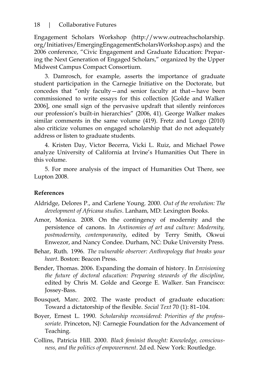Engagement Scholars Workshop (http://www.outreachscholarship. org/Initiatives/EmergingEngagementScholarsWorkshop.aspx) and the 2006 conference, "Civic Engagement and Graduate Education: Preparing the Next Generation of Engaged Scholars," organized by the Upper Midwest Campus Compact Consortium.

3. Damrosch, for example, asserts the importance of graduate student participation in the Carnegie Initiative on the Doctorate, but concedes that "only faculty—and senior faculty at that—have been commissioned to write essays for this collection [Golde and Walker 2006], one small sign of the pervasive updraft that silently reinforces our profession's built-in hierarchies" (2006, 41). George Walker makes similar comments in the same volume (419). Fretz and Longo (2010) also criticize volumes on engaged scholarship that do not adequately address or listen to graduate students.

4. Kristen Day, Victor Becerra, Vicki L. Ruiz, and Michael Powe analyze University of California at Irvine's Humanities Out There in this volume.

5. For more analysis of the impact of Humanities Out There, see Lupton 2008.

#### **References**

- Aldridge, Delores P., and Carlene Young. 2000. *Out of the revolution: The development of Africana studies*. Lanham, MD: Lexington Books.
- Amor, Monica. 2008. On the contingency of modernity and the persistence of canons. In *Antinomies of art and culture: Modernity, postmodernity, contemporaneity*, edited by Terry Smith, Okwui Enwezor, and Nancy Condee. Durham, NC: Duke University Press.
- Behar, Ruth. 1996. *The vulnerable observer: Anthropology that breaks your heart*. Boston: Beacon Press.
- Bender, Thomas. 2006. Expanding the domain of history. In *Envisioning the future of doctoral education: Preparing stewards of the discipline,* edited by Chris M. Golde and George E. Walker. San Francisco: Jossey-Bass.
- Bousquet, Marc. 2002. The waste product of graduate education: Toward a dictatorship of the flexible. *Social Text* 70 (1): 81–104.
- Boyer, Ernest L. 1990. *Scholarship reconsidered: Priorities of the professsoriate.* Princeton, NJ: Carnegie Foundation for the Advancement of Teaching.
- Collins, Patricia Hill. 2000. *Black feminist thought: Knowledge, consciousness, and the politics of empowerment*. 2d ed. New York: Routledge.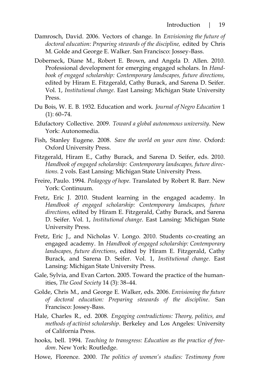- Damrosch, David. 2006. Vectors of change. In *Envisioning the future of doctoral education: Preparing stewards of the discipline,* edited by Chris M. Golde and George E. Walker. San Francisco: Jossey-Bass.
- Doberneck, Diane M., Robert E. Brown, and Angela D. Allen. 2010. Professional development for emerging engaged scholars. In *Handbook of engaged scholarship: Contemporary landscapes, future directions,*  edited by Hiram E. Fitzgerald, Cathy Burack, and Sarena D. Seifer. Vol. 1, *Institutional change*. East Lansing: Michigan State University Press.
- Du Bois, W. E. B. 1932. Education and work. *Journal of Negro Education* 1 (1): 60–74.
- Edufactory Collective. 2009. *Toward a global autonomous university.* New York: Autonomedia.
- Fish, Stanley Eugene. 2008. *Save the world on your own time*. Oxford: Oxford University Press.
- Fitzgerald, Hiram E., Cathy Burack, and Sarena D. Seifer, eds. 2010. *Handbook of engaged scholarship: Contemporary landscapes, future directions.* 2 vols. East Lansing: Michigan State University Press.
- Freire, Paulo. 1994. *Pedagogy of hope.* Translated by Robert R. Barr. New York: Continuum.
- Fretz, Eric J. 2010. Student learning in the engaged academy. In *Handbook of engaged scholarship: Contemporary landscapes, future directions,* edited by Hiram E. Fitzgerald, Cathy Burack, and Sarena D. Seifer. Vol. 1, *Institutional change*. East Lansing: Michigan State University Press.
- Fretz, Eric J., and Nicholas V. Longo. 2010. Students co-creating an engaged academy. In *Handbook of engaged scholarship: Contemporary landscapes, future directions*, edited by Hiram E. Fitzgerald, Cathy Burack, and Sarena D. Seifer*.* Vol. 1, *Institutional change*. East Lansing: Michigan State University Press.
- Gale, Sylvia, and Evan Carton. 2005. Toward the practice of the humanities, *The Good Society* 14 (3): 38–44.
- Golde, Chris M., and George E. Walker, eds. 2006. *Envisioning the future of doctoral education: Preparing stewards of the discipline*. San Francisco: Jossey-Bass.
- Hale, Charles R., ed. 2008. *Engaging contradictions: Theory, politics, and methods of activist scholarship*. Berkeley and Los Angeles: University of California Press.
- hooks, bell. 1994. *Teaching to transgress: Education as the practice of freedom*. New York: Routledge.
- Howe, Florence. 2000. *The politics of women's studies: Testimony from*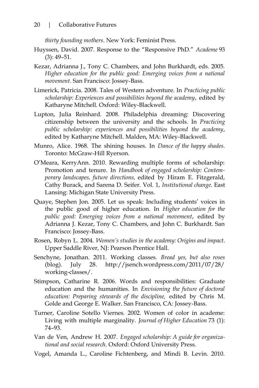*thirty founding mothers*. New York: Feminist Press.

- Huyssen, David. 2007. Response to the "Responsive PhD." *Academe* 93 (3): 49–51.
- Kezar, Adrianna J., Tony C. Chambers, and John Burkhardt, eds. 2005. *Higher education for the public good: Emerging voices from a national movement*. San Francisco: Jossey-Bass.
- Limerick, Patricia. 2008. Tales of Western adventure. In *Practicing public scholarship: Experiences and possibilities beyond the academy*, edited by Katharyne Mitchell. Oxford: Wiley-Blackwell.
- Lupton, Julia Reinhard. 2008. Philadelphia dreaming: Discovering citizenship between the university and the schools. In *Practicing public scholarship: experiences and possibilities beyond the academy*, edited by Katharyne Mitchell. Malden, MA: Wiley-Blackwell.
- Munro, Alice. 1968. The shining houses. In *Dance of the happy shades*. Toronto: McGraw-Hill Ryerson.
- O'Meara, KerryAnn. 2010. Rewarding multiple forms of scholarship: Promotion and tenure. In *Handbook of engaged scholarship: Contemporary landscapes, future directions,* edited by Hiram E. Fitzgerald, Cathy Burack, and Sarena D. Seifer. Vol. 1, *Institutional change*. East Lansing: Michigan State University Press.
- Quaye, Stephen Jon. 2005. Let us speak: Including students' voices in the public good of higher education. In *Higher education for the public good: Emerging voices from a national movement*, edited by Adrianna J. Kezar, Tony C. Chambers, and John C. Burkhardt. San Francisco: Jossey-Bass.
- Rosen, Robyn L. 2004. *Women's studies in the academy: Origins and impact*. Upper Saddle River, NJ: Pearson Prentice Hall.
- Senchyne, Jonathan. 2011. Working classes. *Bread yes, but also roses* (blog). July 28. http://jsench.wordpress.com/2011/07/28/ working-classes/.
- Stimpson, Catharine R. 2006. Words and responsibilities: Graduate education and the humanities. In *Envisioning the future of doctoral education: Preparing stewards of the discipline,* edited by Chris M. Golde and George E. Walker. San Francisco, CA: Jossey-Bass.
- Turner, Caroline Sotello Viernes. 2002. Women of color in academe: Living with multiple marginality. *Journal of Higher Education* 73 (1): 74–93.
- Van de Ven, Andrew H. 2007. *Engaged scholarship: A guide for organizational and social research*. Oxford: Oxford University Press.
- Vogel, Amanda L., Caroline Fichtenberg, and Mindi B. Levin. 2010.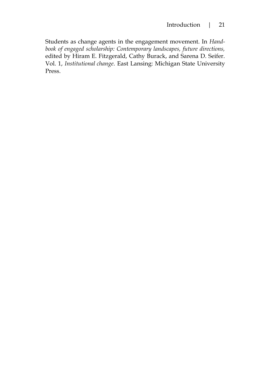Students as change agents in the engagement movement. In *Handbook of engaged scholarship: Contemporary landscapes, future directions,*  edited by Hiram E. Fitzgerald, Cathy Burack, and Sarena D. Seifer. Vol. 1, *Institutional change*. East Lansing: Michigan State University Press.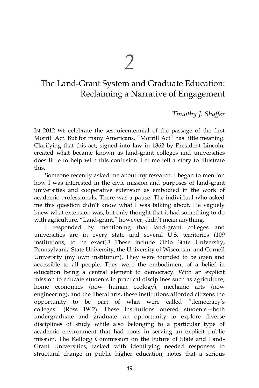# *2*

## <span id="page-33-0"></span>The Land-Grant System and Graduate Education: Reclaiming a Narrative of Engagement

*Timothy J. Shaffer*

IN 2012 WE celebrate the sesquicentennial of the passage of the first Morrill Act. But for many Americans, "Morrill Act" has little meaning. Clarifying that this act, signed into law in 1862 by President Lincoln, created what became known as land-grant colleges and universities does little to help with this confusion. Let me tell a story to illustrate this.

Someone recently asked me about my research. I began to mention how I was interested in the civic mission and purposes of land-grant universities and cooperative extension as embodied in the work of academic professionals. There was a pause. The individual who asked me this question didn't know what I was talking about. He vaguely knew what extension was, but only thought that it had something to do with agriculture. "Land-grant," however, didn't mean anything.

I responded by mentioning that land-grant colleges and universities are in every state and several U.S. territories (109 institutions, to be exact).<sup>1</sup> These include Ohio State University, Pennsylvania State University, the University of Wisconsin, and Cornell University (my own institution). They were founded to be open and accessible to all people. They were the embodiment of a belief in education being a central element to democracy. With an explicit mission to educate students in practical disciplines such as agriculture, home economics (now human ecology), mechanic arts (now engineering), and the liberal arts, these institutions afforded citizens the opportunity to be part of what were called "democracy's colleges" (Ross 1942). These institutions offered students—both undergraduate and graduate—an opportunity to explore diverse disciplines of study while also belonging to a particular type of academic environment that had roots in serving an explicit public mission. The Kellogg Commission on the Future of State and Land-Grant Universities, tasked with identifying needed responses to structural change in public higher education, notes that a serious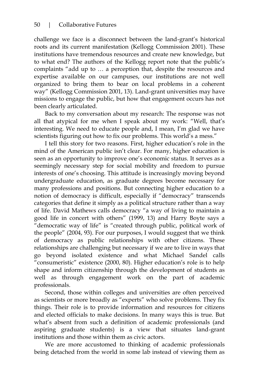challenge we face is a disconnect between the land-grant's historical roots and its current manifestation (Kellogg Commission 2001). These institutions have tremendous resources and create new knowledge, but to what end? The authors of the Kellogg report note that the public's complaints "add up to … a perception that, despite the resources and expertise available on our campuses, our institutions are not well organized to bring them to bear on local problems in a coherent way" (Kellogg Commission 2001, 13). Land-grant universities may have missions to engage the public, but how that engagement occurs has not been clearly articulated.

Back to my conversation about my research: The response was not all that atypical for me when I speak about my work: "Well, that's interesting. We need to educate people and, I mean, I'm glad we have scientists figuring out how to fix our problems. This world's a mess."

I tell this story for two reasons. First, higher education's role in the mind of the American public isn't clear. For many, higher education is seen as an opportunity to improve one's economic status. It serves as a seemingly necessary step for social mobility and freedom to pursue interests of one's choosing. This attitude is increasingly moving beyond undergraduate education, as graduate degrees become necessary for many professions and positions. But connecting higher education to a notion of democracy is difficult, especially if "democracy" transcends categories that define it simply as a political structure rather than a way of life. David Mathews calls democracy "a way of living to maintain a good life in concert with others" (1999, 13) and Harry Boyte says a "democratic way of life" is "created through public, political work of the people" (2004, 93). For our purposes, I would suggest that we think of democracy as public relationships with other citizens. These relationships are challenging but necessary if we are to live in ways that go beyond isolated existence and what Michael Sandel calls "consumeristic" existence (2000, 80). Higher education's role is to help shape and inform citizenship through the development of students as well as through engagement work on the part of academic professionals.

Second, those within colleges and universities are often perceived as scientists or more broadly as "experts" who solve problems. They fix things. Their role is to provide information and resources for citizens and elected officials to make decisions. In many ways this is true. But what's absent from such a definition of academic professionals (and aspiring graduate students) is a view that situates land-grant institutions and those within them as civic actors.

We are more accustomed to thinking of academic professionals being detached from the world in some lab instead of viewing them as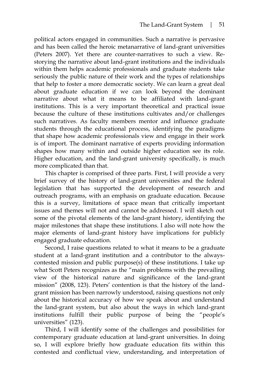political actors engaged in communities. Such a narrative is pervasive and has been called the heroic metanarrative of land-grant universities (Peters 2007). Yet there are counter-narratives to such a view. Restorying the narrative about land-grant institutions and the individuals within them helps academic professionals and graduate students take seriously the public nature of their work and the types of relationships that help to foster a more democratic society. We can learn a great deal about graduate education if we can look beyond the dominant narrative about what it means to be affiliated with land-grant institutions. This is a very important theoretical and practical issue because the culture of these institutions cultivates and/or challenges such narratives. As faculty members mentor and influence graduate students through the educational process, identifying the paradigms that shape how academic professionals view and engage in their work is of import. The dominant narrative of experts providing information shapes how many within and outside higher education see its role. Higher education, and the land-grant university specifically, is much more complicated than that.

This chapter is comprised of three parts. First, I will provide a very brief survey of the history of land-grant universities and the federal legislation that has supported the development of research and outreach programs, with an emphasis on graduate education. Because this is a survey, limitations of space mean that critically important issues and themes will not and cannot be addressed. I will sketch out some of the pivotal elements of the land-grant history, identifying the major milestones that shape these institutions. I also will note how the major elements of land-grant history have implications for publicly engaged graduate education.

Second, I raise questions related to what it means to be a graduate student at a land-grant institution and a contributor to the alwayscontested mission and public purpose(s) of these institutions. I take up what Scott Peters recognizes as the "main problems with the prevailing view of the historical nature and significance of the land-grant mission" (2008, 123). Peters' contention is that the history of the landgrant mission has been narrowly understood, raising questions not only about the historical accuracy of how we speak about and understand the land-grant system, but also about the ways in which land-grant institutions fulfill their public purpose of being the "people's universities" (123).

Third, I will identify some of the challenges and possibilities for contemporary graduate education at land-grant universities. In doing so, I will explore briefly how graduate education fits within this contested and conflictual view, understanding, and interpretation of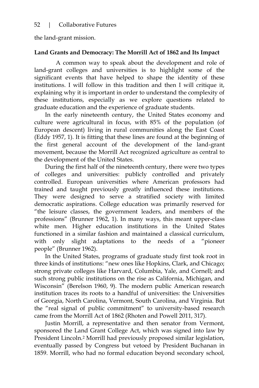the land-grant mission.

# **Land Grants and Democracy: The Morrill Act of 1862 and Its Impact**

A common way to speak about the development and role of land-grant colleges and universities is to highlight some of the significant events that have helped to shape the identity of these institutions. I will follow in this tradition and then I will critique it, explaining why it is important in order to understand the complexity of these institutions, especially as we explore questions related to graduate education and the experience of graduate students.

In the early nineteenth century, the United States economy and culture were agricultural in focus, with 85% of the population (of European descent) living in rural communities along the East Coast (Eddy 1957, 1). It is fitting that these lines are found at the beginning of the first general account of the development of the land-grant movement, because the Morrill Act recognized agriculture as central to the development of the United States.

During the first half of the nineteenth century, there were two types of colleges and universities: publicly controlled and privately controlled. European universities where American professors had trained and taught previously greatly influenced these institutions. They were designed to serve a stratified society with limited democratic aspirations. College education was primarily reserved for "the leisure classes, the government leaders, and members of the professions" (Brunner 1962, 1). In many ways, this meant upper-class white men. Higher education institutions in the United States functioned in a similar fashion and maintained a classical curriculum, with only slight adaptations to the needs of a "pioneer people" (Brunner 1962).

In the United States, programs of graduate study first took root in three kinds of institutions: "new ones like Hopkins, Clark, and Chicago; strong private colleges like Harvard, Columbia, Yale, and Cornell; and such strong public institutions on the rise as California, Michigan, and Wisconsin" (Berelson 1960, 9). The modern public American research institution traces its roots to a handful of universities: the Universities of Georgia, North Carolina, Vermont, South Carolina, and Virginia. But the "real signal of public commitment" to university-based research came from the Morrill Act of 1862 (Rhoten and Powell 2011, 317).

Justin Morrill, a representative and then senator from Vermont, sponsored the Land Grant College Act, which was signed into law by President Lincoln.<sup>2</sup> Morrill had previously proposed similar legislation, eventually passed by Congress but vetoed by President Buchanan in 1859. Morrill, who had no formal education beyond secondary school,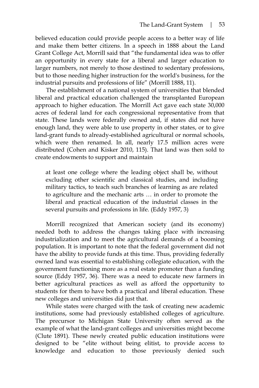believed education could provide people access to a better way of life and make them better citizens. In a speech in 1888 about the Land Grant College Act, Morrill said that "the fundamental idea was to offer an opportunity in every state for a liberal and larger education to larger numbers, not merely to those destined to sedentary professions, but to those needing higher instruction for the world's business, for the industrial pursuits and professions of life" (Morrill 1888, 11).

The establishment of a national system of universities that blended liberal and practical education challenged the transplanted European approach to higher education. The Morrill Act gave each state 30,000 acres of federal land for each congressional representative from that state. These lands were federally owned and, if states did not have enough land, they were able to use property in other states, or to give land-grant funds to already-established agricultural or normal schools, which were then renamed. In all, nearly 17.5 million acres were distributed (Cohen and Kisker 2010, 115). That land was then sold to create endowments to support and maintain

at least one college where the leading object shall be, without excluding other scientific and classical studies, and including military tactics, to teach such branches of learning as are related to agriculture and the mechanic arts … in order to promote the liberal and practical education of the industrial classes in the several pursuits and professions in life. (Eddy 1957, 3)

Morrill recognized that American society (and its economy) needed both to address the changes taking place with increasing industrialization and to meet the agricultural demands of a booming population. It is important to note that the federal government did not have the ability to provide funds at this time. Thus, providing federally owned land was essential to establishing collegiate education, with the government functioning more as a real estate promoter than a funding source (Eddy 1957, 36). There was a need to educate new farmers in better agricultural practices as well as afford the opportunity to students for them to have both a practical and liberal education. These new colleges and universities did just that.

While states were charged with the task of creating new academic institutions, some had previously established colleges of agriculture. The precursor to Michigan State University often served as the example of what the land-grant colleges and universities might become (Clute 1891). These newly created public education institutions were designed to be "elite without being elitist, to provide access to knowledge and education to those previously denied such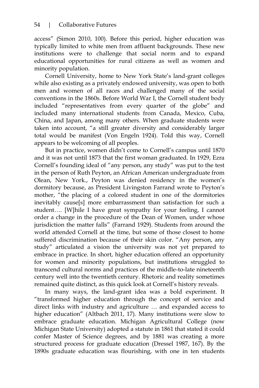access" (Simon 2010, 100). Before this period, higher education was typically limited to white men from affluent backgrounds. These new institutions were to challenge that social norm and to expand educational opportunities for rural citizens as well as women and minority population.

Cornell University, home to New York State's land-grant colleges while also existing as a privately endowed university, was open to both men and women of all races and challenged many of the social conventions in the 1860s. Before World War I, the Cornell student body included "representatives from every quarter of the globe" and included many international students from Canada, Mexico, Cuba, China, and Japan, among many others. When graduate students were taken into account, "a still greater diversity and considerably larger total would be manifest (Von Engeln 1924). Told this way, Cornell appears to be welcoming of all peoples.

But in practice, women didn't come to Cornell's campus until 1870 and it was not until 1873 that the first woman graduated. In 1929, Ezra Cornell's founding ideal of "any person, any study" was put to the test in the person of Ruth Peyton, an African American undergraduate from Olean, New York., Peyton was denied residency in the women's dormitory because, as President Livingston Farrand wrote to Peyton's mother, "the placing of a colored student in one of the dormitories inevitably cause[s] more embarrassment than satisfaction for such a student…. [W]hile I have great sympathy for your feeling, I cannot order a change in the procedure of the Dean of Women, under whose jurisdiction the matter falls" (Farrand 1929). Students from around the world attended Cornell at the time, but some of those closest to home suffered discrimination because of their skin color. "Any person, any study" articulated a vision the university was not yet prepared to embrace in practice. In short, higher education offered an opportunity for women and minority populations, but institutions struggled to transcend cultural norms and practices of the middle-to-late nineteenth century well into the twentieth century. Rhetoric and reality sometimes remained quite distinct, as this quick look at Cornell's history reveals.

In many ways, the land-grant idea was a bold experiment. It "transformed higher education through the concept of service and direct links with industry and agriculture … and expanded access to higher education" (Altbach 2011, 17). Many institutions were slow to embrace graduate education. Michigan Agricultural College (now Michigan State University) adopted a statute in 1861 that stated it could confer Master of Science degrees, and by 1881 was creating a more structured process for graduate education (Dressel 1987, 167). By the 1890s graduate education was flourishing, with one in ten students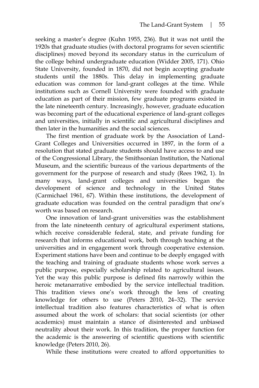seeking a master's degree (Kuhn 1955, 236). But it was not until the 1920s that graduate studies (with doctoral programs for seven scientific disciplines) moved beyond its secondary status in the curriculum of the college behind undergraduate education (Widder 2005, 171). Ohio State University, founded in 1870, did not begin accepting graduate students until the 1880s. This delay in implementing graduate education was common for land-grant colleges at the time. While institutions such as Cornell University were founded with graduate education as part of their mission, few graduate programs existed in the late nineteenth century. Increasingly, however, graduate education was becoming part of the educational experience of land-grant colleges and universities, initially in scientific and agricultural disciplines and then later in the humanities and the social sciences.

The first mention of graduate work by the Association of Land-Grant Colleges and Universities occurred in 1897, in the form of a resolution that stated graduate students should have access to and use of the Congressional Library, the Smithsonian Institution, the National Museum, and the scientific bureaus of the various departments of the government for the purpose of research and study (Rees 1962, 1). In many ways, land-grant colleges and universities began the development of science and technology in the United States (Carmichael 1961, 67). Within these institutions, the development of graduate education was founded on the central paradigm that one's worth was based on research.

One innovation of land-grant universities was the establishment from the late nineteenth century of agricultural experiment stations, which receive considerable federal, state, and private funding for research that informs educational work, both through teaching at the universities and in engagement work through cooperative extension. Experiment stations have been and continue to be deeply engaged with the teaching and training of graduate students whose work serves a public purpose, especially scholarship related to agricultural issues. Yet the way this public purpose is defined fits narrowly within the heroic metanarrative embodied by the service intellectual tradition. This tradition views one's work through the lens of creating knowledge for others to use (Peters 2010, 24–32). The service intellectual tradition also features characteristics of what is often assumed about the work of scholars: that social scientists (or other academics) must maintain a stance of disinterested and unbiased neutrality about their work. In this tradition, the proper function for the academic is the answering of scientific questions with scientific knowledge (Peters 2010, 26).

While these institutions were created to afford opportunities to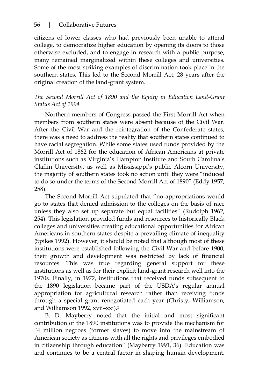citizens of lower classes who had previously been unable to attend college, to democratize higher education by opening its doors to those otherwise excluded, and to engage in research with a public purpose, many remained marginalized within these colleges and universities. Some of the most striking examples of discrimination took place in the southern states. This led to the Second Morrill Act, 28 years after the original creation of the land-grant system.

# *The Second Morrill Act of 1890 and the Equity in Education Land-Grant Status Act of 1994*

Northern members of Congress passed the First Morrill Act when members from southern states were absent because of the Civil War. After the Civil War and the reintegration of the Confederate states, there was a need to address the reality that southern states continued to have racial segregation. While some states used funds provided by the Morrill Act of 1862 for the education of African Americans at private institutions such as Virginia's Hampton Institute and South Carolina's Claflin University, as well as Mississippi's public Alcorn University, the majority of southern states took no action until they were "induced to do so under the terms of the Second Morrill Act of 1890" (Eddy 1957, 258).

The Second Morrill Act stipulated that "no appropriations would go to states that denied admission to the colleges on the basis of race unless they also set up separate but equal facilities" (Rudolph 1962, 254). This legislation provided funds and resources to historically Black colleges and universities creating educational opportunities for African Americans in southern states despite a prevailing climate of inequality (Spikes 1992). However, it should be noted that although most of these institutions were established following the Civil War and before 1900, their growth and development was restricted by lack of financial resources. This was true regarding general support for these institutions as well as for their explicit land-grant research well into the 1970s. Finally, in 1972, institutions that received funds subsequent to the 1890 legislation became part of the USDA's regular annual appropriation for agricultural research rather than receiving funds through a special grant renegotiated each year (Christy, Williamson, and Williamson 1992, xvii–xxi).<sup>3</sup>

B. D. Mayberry noted that the initial and most significant contribution of the 1890 institutions was to provide the mechanism for "4 million negroes (former slaves) to move into the mainstream of American society as citizens with all the rights and privileges embodied in citizenship through education" (Mayberry 1991, 36). Education was and continues to be a central factor in shaping human development.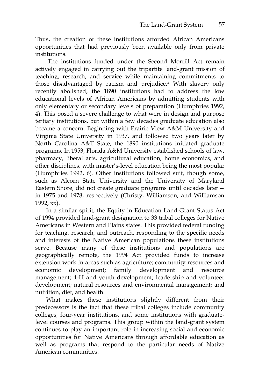Thus, the creation of these institutions afforded African Americans opportunities that had previously been available only from private institutions.

The institutions funded under the Second Morrill Act remain actively engaged in carrying out the tripartite land-grant mission of teaching, research, and service while maintaining commitments to those disadvantaged by racism and prejudice.<sup>4</sup> With slavery only recently abolished, the 1890 institutions had to address the low educational levels of African Americans by admitting students with only elementary or secondary levels of preparation (Humphries 1992, 4). This posed a severe challenge to what were in design and purpose tertiary institutions, but within a few decades graduate education also became a concern. Beginning with Prairie View A&M University and Virginia State University in 1937, and followed two years later by North Carolina A&T State, the 1890 institutions initiated graduate programs. In 1953, Florida A&M University established schools of law, pharmacy, liberal arts, agricultural education, home economics, and other disciplines, with master's-level education being the most popular (Humphries 1992, 6). Other institutions followed suit, though some, such as Alcorn State University and the University of Maryland Eastern Shore, did not create graduate programs until decades later in 1975 and 1978, respectively (Christy, Williamson, and Williamson 1992, xx).

In a similar spirit, the Equity in Education Land-Grant Status Act of 1994 provided land-grant designation to 33 tribal colleges for Native Americans in Western and Plains states. This provided federal funding for teaching, research, and outreach, responding to the specific needs and interests of the Native American populations these institutions serve. Because many of these institutions and populations are geographically remote, the 1994 Act provided funds to increase extension work in areas such as agriculture; community resources and economic development; family development and resource management; 4-H and youth development; leadership and volunteer development; natural resources and environmental management; and nutrition, diet, and health.

What makes these institutions slightly different from their predecessors is the fact that these tribal colleges include community colleges, four-year institutions, and some institutions with graduatelevel courses and programs. This group within the land-grant system continues to play an important role in increasing social and economic opportunities for Native Americans through affordable education as well as programs that respond to the particular needs of Native American communities.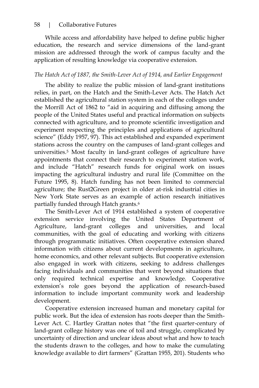While access and affordability have helped to define public higher education, the research and service dimensions of the land-grant mission are addressed through the work of campus faculty and the application of resulting knowledge via cooperative extension.

#### *The Hatch Act of 1887, the Smith-Lever Act of 1914, and Earlier Engagement*

The ability to realize the public mission of land-grant institutions relies, in part, on the Hatch and the Smith-Lever Acts. The Hatch Act established the agricultural station system in each of the colleges under the Morrill Act of 1862 to "aid in acquiring and diffusing among the people of the United States useful and practical information on subjects connected with agriculture, and to promote scientific investigation and experiment respecting the principles and applications of agricultural science" (Eddy 1957, 97). This act established and expanded experiment stations across the country on the campuses of land-grant colleges and universities.<sup>5</sup> Most faculty in land-grant colleges of agriculture have appointments that connect their research to experiment station work, and include "Hatch" research funds for original work on issues impacting the agricultural industry and rural life (Committee on the Future 1995, 8). Hatch funding has not been limited to commercial agriculture; the Rust2Green project in older at-risk industrial cities in New York State serves as an example of action research initiatives partially funded through Hatch grants.<sup>6</sup>

The Smith-Lever Act of 1914 established a system of cooperative extension service involving the United States Department of Agriculture, land-grant colleges and universities, and local communities, with the goal of educating and working with citizens through programmatic initiatives. Often cooperative extension shared information with citizens about current developments in agriculture, home economics, and other relevant subjects. But cooperative extension also engaged in work with citizens, seeking to address challenges facing individuals and communities that went beyond situations that only required technical expertise and knowledge. Cooperative extension's role goes beyond the application of research-based information to include important community work and leadership development.

Cooperative extension increased human and monetary capital for public work. But the idea of extension has roots deeper than the Smith-Lever Act. C. Hartley Grattan notes that "the first quarter-century of land-grant college history was one of toil and struggle, complicated by uncertainty of direction and unclear ideas about what and how to teach the students drawn to the colleges, and how to make the cumulating knowledge available to dirt farmers" (Grattan 1955, 201). Students who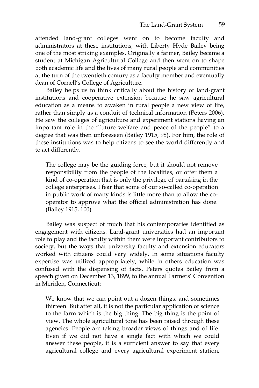attended land-grant colleges went on to become faculty and administrators at these institutions, with Liberty Hyde Bailey being one of the most striking examples. Originally a farmer, Bailey became a student at Michigan Agricultural College and then went on to shape both academic life and the lives of many rural people and communities at the turn of the twentieth century as a faculty member and eventually dean of Cornell's College of Agriculture.

Bailey helps us to think critically about the history of land-grant institutions and cooperative extension because he saw agricultural education as a means to awaken in rural people a new view of life, rather than simply as a conduit of technical information (Peters 2006). He saw the colleges of agriculture and experiment stations having an important role in the "future welfare and peace of the people" to a degree that was then unforeseen (Bailey 1915, 98). For him, the role of these institutions was to help citizens to see the world differently and to act differently.

The college may be the guiding force, but it should not remove responsibility from the people of the localities, or offer them a kind of co-operation that is only the privilege of partaking in the college enterprises. I fear that some of our so-called co-operation in public work of many kinds is little more than to allow the cooperator to approve what the official administration has done. (Bailey 1915, 100)

Bailey was suspect of much that his contemporaries identified as engagement with citizens. Land-grant universities had an important role to play and the faculty within them were important contributors to society, but the ways that university faculty and extension educators worked with citizens could vary widely. In some situations faculty expertise was utilized appropriately, while in others education was confused with the dispensing of facts. Peters quotes Bailey from a speech given on December 13, 1899, to the annual Farmers' Convention in Meriden, Connecticut:

We know that we can point out a dozen things, and sometimes thirteen. But after all, it is not the particular application of science to the farm which is the big thing. The big thing is the point of view. The whole agricultural tone has been raised through these agencies. People are taking broader views of things and of life. Even if we did not have a single fact with which we could answer these people, it is a sufficient answer to say that every agricultural college and every agricultural experiment station,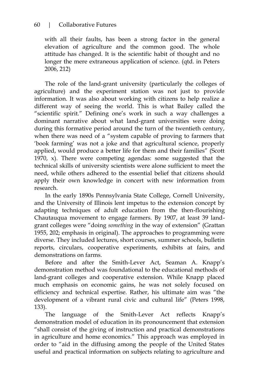with all their faults, has been a strong factor in the general elevation of agriculture and the common good. The whole attitude has changed. It is the scientific habit of thought and no longer the mere extraneous application of science. (qtd. in Peters 2006, 212)

The role of the land-grant university (particularly the colleges of agriculture) and the experiment station was not just to provide information. It was also about working with citizens to help realize a different way of seeing the world. This is what Bailey called the "scientific spirit." Defining one's work in such a way challenges a dominant narrative about what land-grant universities were doing during this formative period around the turn of the twentieth century, when there was need of a "system capable of proving to farmers that 'book farming' was not a joke and that agricultural science, properly applied, would produce a better life for them and their families" (Scott 1970, x). There were competing agendas: some suggested that the technical skills of university scientists were alone sufficient to meet the need, while others adhered to the essential belief that citizens should apply their own knowledge in concert with new information from research.

In the early 1890s Pennsylvania State College, Cornell University, and the University of Illinois lent impetus to the extension concept by adapting techniques of adult education from the then-flourishing Chautauqua movement to engage farmers. By 1907, at least 39 landgrant colleges were "doing *something* in the way of extension" (Grattan 1955, 202; emphasis in original). The approaches to programming were diverse. They included lectures, short courses, summer schools, bulletin reports, circulars, cooperative experiments, exhibits at fairs, and demonstrations on farms.

Before and after the Smith-Lever Act, Seaman A. Knapp's demonstration method was foundational to the educational methods of land-grant colleges and cooperative extension. While Knapp placed much emphasis on economic gains, he was not solely focused on efficiency and technical expertise. Rather, his ultimate aim was "the development of a vibrant rural civic and cultural life" (Peters 1998, 133).

The language of the Smith-Lever Act reflects Knapp's demonstration model of education in its pronouncement that extension "shall consist of the giving of instruction and practical demonstrations in agriculture and home economics." This approach was employed in order to "aid in the diffusing among the people of the United States useful and practical information on subjects relating to agriculture and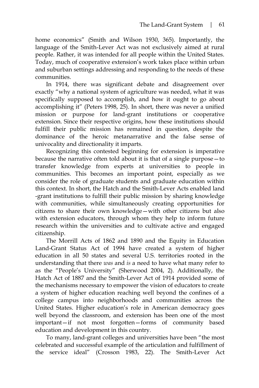home economics" (Smith and Wilson 1930, 365). Importantly, the language of the Smith-Lever Act was not exclusively aimed at rural people. Rather, it was intended for all people within the United States. Today, much of cooperative extension's work takes place within urban and suburban settings addressing and responding to the needs of these communities.

In 1914, there was significant debate and disagreement over exactly "why a national system of agriculture was needed, what it was specifically supposed to accomplish, and how it ought to go about accomplishing it" (Peters 1998, 25). In short, there was never a unified mission or purpose for land-grant institutions or cooperative extension. Since their respective origins, how these institutions should fulfill their public mission has remained in question, despite the dominance of the heroic metanarrative and the false sense of univocality and directionality it imparts.

Recognizing this contested beginning for extension is imperative because the narrative often told about it is that of a single purpose—to transfer knowledge from experts at universities to people in communities. This becomes an important point, especially as we consider the role of graduate students and graduate education within this context. In short, the Hatch and the Smith-Lever Acts enabled land -grant institutions to fulfill their public mission by sharing knowledge with communities, while simultaneously creating opportunities for citizens to share their own knowledge—with other citizens but also with extension educators, through whom they help to inform future research within the universities and to cultivate active and engaged citizenship.

The Morrill Acts of 1862 and 1890 and the Equity in Education Land-Grant Status Act of 1994 have created a system of higher education in all 50 states and several U.S. territories rooted in the understanding that there *was* and *is* a need to have what many refer to as the "People's University" (Sherwood 2004, 2). Additionally, the Hatch Act of 1887 and the Smith-Lever Act of 1914 provided some of the mechanisms necessary to empower the vision of educators to create a system of higher education reaching well beyond the confines of a college campus into neighborhoods and communities across the United States. Higher education's role in American democracy goes well beyond the classroom, and extension has been one of the most important—if not most forgotten—forms of community based education and development in this country.

To many, land-grant colleges and universities have been "the most celebrated and successful example of the articulation and fulfillment of the service ideal" (Crosson 1983, 22). The Smith-Lever Act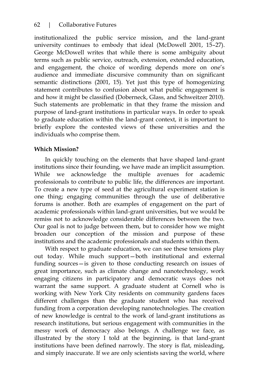institutionalized the public service mission, and the land-grant university continues to embody that ideal (McDowell 2001, 15–27). George McDowell writes that while there is some ambiguity about terms such as public service, outreach, extension, extended education, and engagement, the choice of wording depends more on one's audience and immediate discursive community than on significant semantic distinctions (2001, 15). Yet just this type of homogenizing statement contributes to confusion about what public engagement is and how it might be classified (Doberneck, Glass, and Schweitzer 2010). Such statements are problematic in that they frame the mission and purpose of land-grant institutions in particular ways. In order to speak to graduate education within the land-grant context, it is important to briefly explore the contested views of these universities and the individuals who comprise them.

# **Which Mission?**

In quickly touching on the elements that have shaped land-grant institutions since their founding, we have made an implicit assumption. While we acknowledge the multiple avenues for academic professionals to contribute to public life, the differences are important. To create a new type of seed at the agricultural experiment station is one thing; engaging communities through the use of deliberative forums is another. Both are examples of engagement on the part of academic professionals within land-grant universities, but we would be remiss not to acknowledge considerable differences between the two. Our goal is not to judge between them, but to consider how we might broaden our conception of the mission and purpose of these institutions and the academic professionals and students within them.

With respect to graduate education, we can see these tensions play out today. While much support—both institutional and external funding sources—is given to those conducting research on issues of great importance, such as climate change and nanotechnology, work engaging citizens in participatory and democratic ways does not warrant the same support. A graduate student at Cornell who is working with New York City residents on community gardens faces different challenges than the graduate student who has received funding from a corporation developing nanotechnologies. The creation of new knowledge is central to the work of land-grant institutions as research institutions, but serious engagement with communities in the messy work of democracy also belongs. A challenge we face, as illustrated by the story I told at the beginning, is that land-grant institutions have been defined narrowly. The story is flat, misleading, and simply inaccurate. If we are only scientists saving the world, where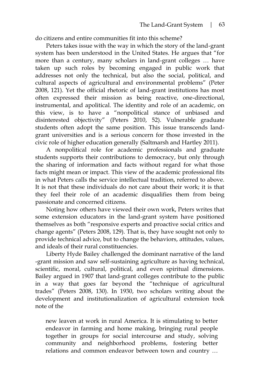do citizens and entire communities fit into this scheme?

Peters takes issue with the way in which the story of the land-grant system has been understood in the United States. He argues that "for more than a century, many scholars in land-grant colleges … have taken up such roles by becoming engaged in public work that addresses not only the technical, but also the social, political, and cultural aspects of agricultural and environmental problems" (Peter 2008, 121). Yet the official rhetoric of land-grant institutions has most often expressed their mission as being reactive, one-directional, instrumental, and apolitical. The identity and role of an academic, on this view, is to have a "nonpolitical stance of unbiased and disinterested objectivity" (Peters 2010, 52). Vulnerable graduate students often adopt the same position. This issue transcends landgrant universities and is a serious concern for those invested in the civic role of higher education generally (Saltmarsh and Hartley 2011).

A nonpolitical role for academic professionals and graduate students supports their contributions to democracy, but only through the sharing of information and facts without regard for what those facts might mean or impact. This view of the academic professional fits in what Peters calls the service intellectual tradition, referred to above. It is not that these individuals do not care about their work; it is that they feel their role of an academic disqualifies them from being passionate and concerned citizens.

Noting how others have viewed their own work, Peters writes that some extension educators in the land-grant system have positioned themselves as both "responsive experts and proactive social critics and change agents" (Peters 2008, 129). That is, they have sought not only to provide technical advice, but to change the behaviors, attitudes, values, and ideals of their rural constituencies.

Liberty Hyde Bailey challenged the dominant narrative of the land -grant mission and saw self-sustaining agriculture as having technical, scientific, moral, cultural, political, and even spiritual dimensions. Bailey argued in 1907 that land-grant colleges contribute to the public in a way that goes far beyond the "technique of agricultural trades" (Peters 2008, 130). In 1930, two scholars writing about the development and institutionalization of agricultural extension took note of the

new leaven at work in rural America. It is stimulating to better endeavor in farming and home making, bringing rural people together in groups for social intercourse and study, solving community and neighborhood problems, fostering better relations and common endeavor between town and country …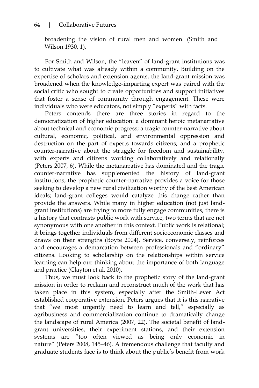broadening the vision of rural men and women. (Smith and Wilson 1930, 1).

For Smith and Wilson, the "leaven" of land-grant institutions was to cultivate what was already within a community. Building on the expertise of scholars and extension agents, the land-grant mission was broadened when the knowledge-imparting expert was paired with the social critic who sought to create opportunities and support initiatives that foster a sense of community through engagement. These were individuals who were educators, not simply "experts" with facts.

Peters contends there are three stories in regard to the democratization of higher education: a dominant heroic metanarrative about technical and economic progress; a tragic counter-narrative about cultural, economic, political, and environmental oppression and destruction on the part of experts towards citizens; and a prophetic counter-narrative about the struggle for freedom and sustainability, with experts and citizens working collaboratively and relationally (Peters 2007, 6). While the metanarrative has dominated and the tragic counter-narrative has supplemented the history of land-grant institutions, the prophetic counter-narrative provides a voice for those seeking to develop a new rural civilization worthy of the best American ideals; land-grant colleges would catalyze this change rather than provide the answers. While many in higher education (not just landgrant institutions) are trying to more fully engage communities, there is a history that contrasts public work with service, two terms that are not synonymous with one another in this context. Public work is relational; it brings together individuals from different socioeconomic classes and draws on their strengths (Boyte 2004). Service, conversely, reinforces and encourages a demarcation between professionals and "ordinary" citizens. Looking to scholarship on the relationships within service learning can help our thinking about the importance of both language and practice (Clayton et al. 2010).

Thus, we must look back to the prophetic story of the land-grant mission in order to reclaim and reconstruct much of the work that has taken place in this system, especially after the Smith-Lever Act established cooperative extension. Peters argues that it is this narrative that "we most urgently need to learn and tell," especially as agribusiness and commercialization continue to dramatically change the landscape of rural America (2007, 22). The societal benefit of landgrant universities, their experiment stations, and their extension systems are "too often viewed as being only economic in nature" (Peters 2008, 145–46). A tremendous challenge that faculty and graduate students face is to think about the public's benefit from work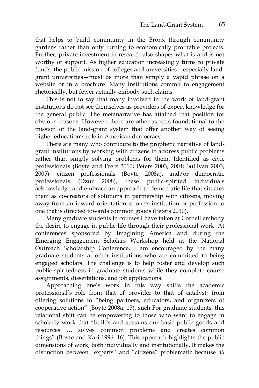that helps to build community in the Bronx through community gardens rather than only turning to economically profitable projects. Further, private investment in research also shapes what is and is not worthy of support. As higher education increasingly turns to private funds, the public mission of colleges and universities—especially landgrant universities—must be more than simply a vapid phrase on a website or in a brochure. Many institutions commit to engagement rhetorically, but fewer actually embody such claims.

This is not to say that many involved in the work of land-grant institutions do not see themselves as providers of expert knowledge for the general public. The metanarrative has attained that position for obvious reasons. However, there are other aspects foundational to the mission of the land-grant system that offer another way of seeing higher education's role in American democracy.

There are many who contribute to the prophetic narrative of landgrant institutions by working with citizens to address public problems rather than simply solving problems for them. Identified as civic professionals (Boyte and Fretz 2010; Peters 2003, 2004; Sullivan 2003, 2005), citizen professionals (Boyte 2008a), and/or democratic professionals (Dzur 2008), these public-spirited individuals acknowledge and embrace an approach to democratic life that situates them as co-creators of solutions in partnership with citizens, moving away from an inward orientation to one's institution or profession to one that is directed towards common goods (Peters 2010).

Many graduate students in courses I have taken at Cornell embody the desire to engage in public life through their professional work. At conferences sponsored by Imagining America and during the Emerging Engagement Scholars Workshop held at the National Outreach Scholarship Conference, I am encouraged by the many graduate students at other institutions who are committed to being engaged scholars. The challenge is to help foster and develop such public-spiritedness in graduate students while they complete course assignments, dissertations, and job applications.

Approaching one's work in this way shifts the academic professional's role from that of provider to that of catalyst; from offering solutions to "being partners, educators, and organizers of cooperative action" (Boyte 2008a, 15). such For graduate students, this relational shift can be empowering to those who want to engage in scholarly work that "builds and sustains our basic public goods and resources … solves common problems and creates common things" (Boyte and Kari 1996, 16). This approach highlights the public dimensions of work, both individually and institutionally. It makes the distinction between "experts" and "citizens" problematic because *all*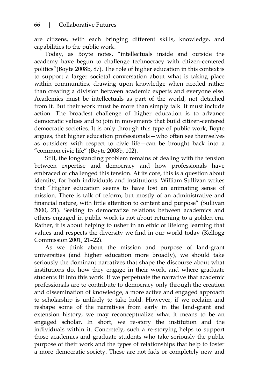are citizens, with each bringing different skills, knowledge, and capabilities to the public work.

Today, as Boyte notes, "intellectuals inside and outside the academy have begun to challenge technocracy with citizen-centered politics"(Boyte 2008b, 87). The role of higher education in this context is to support a larger societal conversation about what is taking place within communities, drawing upon knowledge when needed rather than creating a division between academic experts and everyone else. Academics must be intellectuals as part of the world, not detached from it. But their work must be more than simply talk. It must include action. The broadest challenge of higher education is to advance democratic values and to join in movements that build citizen-centered democratic societies. It is only through this type of public work, Boyte argues, that higher education professionals—who often see themselves as outsiders with respect to civic life—can be brought back into a "common civic life" (Boyte 2008b, 102).

Still, the longstanding problem remains of dealing with the tension between expertise and democracy and how professionals have embraced or challenged this tension. At its core, this is a question about identity, for both individuals and institutions. William Sullivan writes that "Higher education seems to have lost an animating sense of mission. There is talk of reform, but mostly of an administrative and financial nature, with little attention to content and purpose" (Sullivan 2000, 21). Seeking to democratize relations between academics and others engaged in public work is not about returning to a golden era. Rather, it is about helping to usher in an ethic of lifelong learning that values and respects the diversity we find in our world today (Kellogg Commission 2001, 21–22).

As we think about the mission and purpose of land-grant universities (and higher education more broadly), we should take seriously the dominant narratives that shape the discourse about what institutions do, how they engage in their work, and where graduate students fit into this work. If we perpetuate the narrative that academic professionals are to contribute to democracy only through the creation and dissemination of knowledge, a more active and engaged approach to scholarship is unlikely to take hold. However, if we reclaim and reshape some of the narratives from early in the land-grant and extension history, we may reconceptualize what it means to be an engaged scholar. In short, we re-story the institution and the individuals within it. Concretely, such a re-storying helps to support those academics and graduate students who take seriously the public purpose of their work and the types of relationships that help to foster a more democratic society. These are not fads or completely new and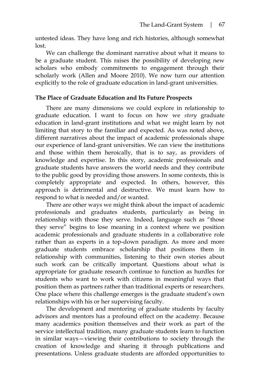untested ideas. They have long and rich histories, although somewhat lost.

We can challenge the dominant narrative about what it means to be a graduate student. This raises the possibility of developing new scholars who embody commitments to engagement through their scholarly work (Allen and Moore 2010). We now turn our attention explicitly to the role of graduate education in land-grant universities.

# **The Place of Graduate Education and Its Future Prospects**

There are many dimensions we could explore in relationship to graduate education. I want to focus on how we *story* graduate education in land-grant institutions and what we might learn by not limiting that story to the familiar and expected. As was noted above, different narratives about the impact of academic professionals shape our experience of land-grant universities. We can view the institutions and those within them heroically, that is to say, as providers of knowledge and expertise. In this story, academic professionals and graduate students have answers the world needs and they contribute to the public good by providing those answers. In some contexts, this is completely appropriate and expected. In others, however, this approach is detrimental and destructive. We must learn how to respond to what is needed and/or wanted.

There are other ways we might think about the impact of academic professionals and graduates students, particularly as being in relationship with those they serve. Indeed, language such as "those they serve" begins to lose meaning in a context where we position academic professionals and graduate students in a collaborative role rather than as experts in a top-down paradigm. As more and more graduate students embrace scholarship that positions them in relationship with communities, listening to their own stories about such work can be critically important. Questions about what is appropriate for graduate research continue to function as hurdles for students who want to work with citizens in meaningful ways that position them as partners rather than traditional experts or researchers. One place where this challenge emerges is the graduate student's own relationships with his or her supervising faculty.

The development and mentoring of graduate students by faculty advisors and mentors has a profound effect on the academy. Because many academics position themselves and their work as part of the service intellectual tradition, many graduate students learn to function in similar ways—viewing their contributions to society through the creation of knowledge and sharing it through publications and presentations. Unless graduate students are afforded opportunities to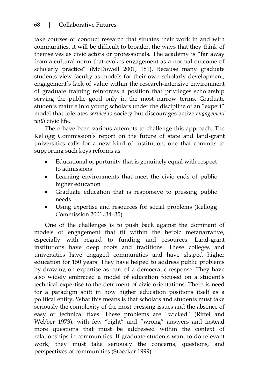take courses or conduct research that situates their work in and with communities, it will be difficult to broaden the ways that they think of themselves as civic actors or professionals. The academy is "far away from a cultural norm that evokes engagement as a normal outcome of scholarly practice" (McDowell 2001, 181). Because many graduate students view faculty as models for their own scholarly development, engagement's lack of value within the research-intensive environment of graduate training reinforces a position that privileges scholarship serving the public good only in the most narrow terms. Graduate students mature into young scholars under the discipline of an "expert" model that tolerates *service to* society but discourages active *engagement with* civic life.

There have been various attempts to challenge this approach. The Kellogg Commission's report on the future of state and land-grant universities calls for a new kind of institution, one that commits to supporting such keys reforms as

- Educational opportunity that is genuinely equal with respect to admissions
- Learning environments that meet the civic ends of public higher education
- Graduate education that is responsive to pressing public needs
- Using expertise and resources for social problems (Kellogg Commission 2001, 34–35)

One of the challenges is to push back against the dominant of models of engagement that fit within the heroic metanarrative, especially with regard to funding and resources. Land-grant institutions have deep roots and traditions. These colleges and universities have engaged communities and have shaped higher education for 150 years. They have helped to address public problems by drawing on expertise as part of a democratic response. They have also widely embraced a model of education focused on a student's technical expertise to the detriment of civic orientations. There is need for a paradigm shift in how higher education positions itself as a political entity. What this means is that scholars and students must take seriously the complexity of the most pressing issues and the absence of easy or technical fixes. These problems are "wicked" (Rittel and Webber 1973), with few "right" and "wrong" answers and instead more questions that must be addressed within the context of relationships in communities. If graduate students want to do relevant work, they must take seriously the concerns, questions, and perspectives of communities (Stoecker 1999).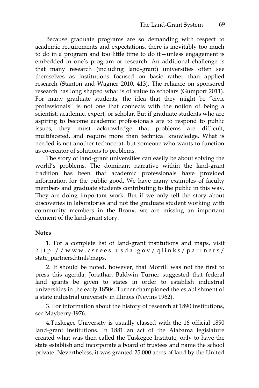Because graduate programs are so demanding with respect to academic requirements and expectations, there is inevitably too much to do in a program and too little time to do it—unless engagement is embedded in one's program or research. An additional challenge is that many research (including land-grant) universities often see themselves as institutions focused on basic rather than applied research (Stanton and Wagner 2010, 413). The reliance on sponsored research has long shaped what is of value to scholars (Gumport 2011). For many graduate students, the idea that they might be "civic professionals" is not one that connects with the notion of being a scientist, academic, expert, or scholar. But if graduate students who are aspiring to become academic professionals are to respond to public issues, they must acknowledge that problems are difficult, multifaceted, and require more than technical knowledge. What is needed is not another technocrat, but someone who wants to function as co-creator of solutions to problems.

The story of land-grant universities can easily be about solving the world's problems. The dominant narrative within the land-grant tradition has been that academic professionals have provided information for the public good. We have many examples of faculty members and graduate students contributing to the public in this way. They are doing important work. But if we only tell the story about discoveries in laboratories and not the graduate student working with community members in the Bronx, we are missing an important element of the land-grant story.

#### **Notes**

1. For a complete list of land-grant institutions and maps, visit http://www.csrees.usda.gov/qlinks/partners/ state\_partners.html#maps.

2. It should be noted, however, that Morrill was not the first to press this agenda. Jonathan Baldwin Turner suggested that federal land grants be given to states in order to establish industrial universities in the early 1850s. Turner championed the establishment of a state industrial university in Illinois (Nevins 1962).

3. For information about the history of research at 1890 institutions, see Mayberry 1976.

4.Tuskegee University is usually classed with the 16 official 1890 land-grant institutions. In 1881 an act of the Alabama legislature created what was then called the Tuskegee Institute, only to have the state establish and incorporate a board of trustees and name the school private. Nevertheless, it was granted 25,000 acres of land by the United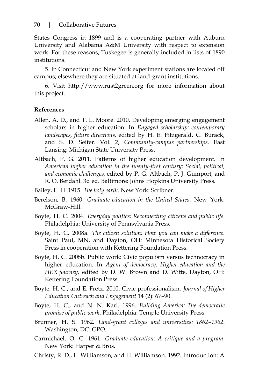States Congress in 1899 and is a cooperating partner with Auburn University and Alabama A&M University with respect to extension work. For these reasons, Tuskegee is generally included in lists of 1890 institutions.

5. In Connecticut and New York experiment stations are located off campus; elsewhere they are situated at land-grant institutions.

6. Visit http://www.rust2green.org for more information about this project.

#### **References**

- Allen, A. D., and T. L. Moore. 2010. Developing emerging engagement scholars in higher education. In *Engaged scholarship: contemporary landscapes, future directions,* edited by H. E. Fitzgerald, C. Burack, and S. D. Seifer. Vol. 2, *Community-campus partnerships*. East Lansing: Michigan State University Press.
- Altbach, P. G. 2011. Patterns of higher education development. In *American higher education in the twenty-first century: Social, political, and economic challenges,* edited by P. G. Altbach, P. J. Gumport, and R. O. Berdahl. 3d ed. Baltimore: Johns Hopkins University Press.
- Bailey, L. H. 1915. *The holy earth*. New York: Scribner.
- Berelson, B. 1960. *Graduate education in the United States*. New York: McGraw-Hill.
- Boyte, H. C. 2004. *Everyday politics: Reconnecting citizens and public life*. Philadelphia: University of Pennsylvania Press.
- Boyte, H. C. 2008a. *The citizen solution: How you can make a difference*. Saint Paul, MN, and Dayton, OH: Minnesota Historical Society Press in cooperation with Kettering Foundation Press.
- Boyte, H. C. 2008b. Public work: Civic populism versus technocracy in higher education. In *Agent of democracy: Higher education and the HEX journey,* edited by D. W. Brown and D. Witte. Dayton, OH: Kettering Foundation Press.
- Boyte, H. C., and E. Fretz. 2010. Civic professionalism. *Journal of Higher Education Outreach and Engagement* 14 (2): 67–90.
- Boyte, H. C., and N. N. Kari. 1996. *Building America: The democratic promise of public work*. Philadelphia: Temple University Press.
- Brunner, H. S. 1962. *Land-grant colleges and universities: 1862–1962*. Washington, DC: GPO.
- Carmichael, O. C. 1961. *Graduate education: A critique and a program*. New York: Harper & Bros.
- Christy, R. D., L. Williamson, and H. Williamson. 1992. Introduction: A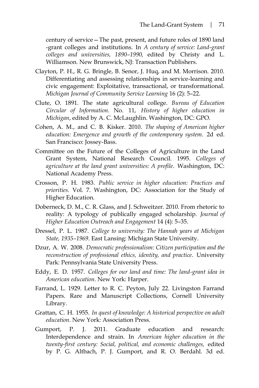century of service—The past, present, and future roles of 1890 land -grant colleges and institutions. In *A century of service: Land-grant colleges and universities, 1890–1990,* edited by Christy and L. Williamson. New Brunswick, NJ: Transaction Publishers.

- Clayton, P. H., R. G. Bringle, B. Senor, J. Huq, and M. Morrison. 2010. Differentiating and assessing relationships in service-learning and civic engagement: Exploitative, transactional, or transformational. *Michigan Journal of Community Service Learning* 16 (2): 5–22.
- Clute, O. 1891. The state agricultural college. *Bureau of Education Circular of Information.* No. 11, *History of higher education in Michigan*, edited by A. C. McLaughlin. Washington, DC: GPO.
- Cohen, A. M., and C. B. Kisker. 2010. *The shaping of American higher education: Emergence and growth of the contemporary system.* 2d ed. San Francisco: Jossey-Bass.
- Committee on the Future of the Colleges of Agriculture in the Land Grant System, National Research Council. 1995. *Colleges of agriculture at the land grant universities: A profile*. Washington, DC: National Academy Press.
- Crosson, P. H. 1983. *Public service in higher education: Practices and priorities.* Vol. 7. Washington, DC: Association for the Study of Higher Education.
- Doberneck, D. M., C. R. Glass, and J. Schweitzer. 2010. From rhetoric to reality: A typology of publically engaged scholarship. *Journal of Higher Education Outreach and Engagement* 14 (4): 5–35.
- Dressel, P. L. 1987. *College to university: The Hannah years at Michigan State, 1935–1969*. East Lansing: Michigan State University.
- Dzur, A. W. 2008. *Democratic professionalism: Citizen participation and the reconstruction of professional ethics, identity, and practice*. University Park: Pennsylvania State University Press.
- Eddy, E. D. 1957. *Colleges for our land and time: The land-grant idea in American education*. New York: Harper.
- Farrand, L. 1929. Letter to R. C. Peyton, July 22. Livingston Farrand Papers. Rare and Manuscript Collections, Cornell University Library.
- Grattan, C. H. 1955. *In quest of knowledge: A historical perspective on adult education*. New York: Association Press.
- Gumport, P. J. 2011. Graduate education and research: Interdependence and strain. In *American higher education in the twenty-first century: Social, political, and economic challenges,* edited by P. G. Altbach, P. J. Gumport, and R. O. Berdahl. 3d ed.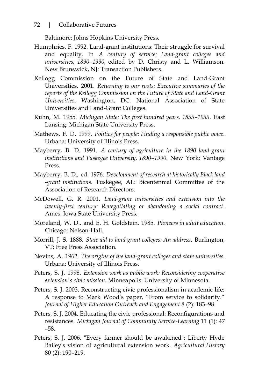Baltimore: Johns Hopkins University Press.

- Humphries, F. 1992. Land-grant institutions: Their struggle for survival and equality. In *A century of service: Land-grant colleges and universities, 1890–1990,* edited by D. Christy and L. Williamson. New Brunswick, NJ: Transaction Publishers.
- Kellogg Commission on the Future of State and Land-Grant Universities. 2001. *Returning to our roots: Executive summaries of the reports of the Kellogg Commission on the Future of State and Land-Grant Universities*. Washington, DC: National Association of State Universities and Land-Grant Colleges.
- Kuhn, M. 1955. *Michigan State: The first hundred years, 1855–1955*. East Lansing: Michigan State University Press.
- Mathews, F. D. 1999. *Politics for people: Finding a responsible public voice*. Urbana: University of Illinois Press.
- Mayberry, B. D. 1991. *A century of agriculture in the 1890 land-grant institutions and Tuskegee University, 1890–1990*. New York: Vantage Press.
- Mayberry, B. D., ed. 1976. *Development of research at historically Black land -grant institutions*. Tuskegee, AL: Bicentennial Committee of the Association of Research Directors.
- McDowell, G. R. 2001. *Land-grant universities and extension into the twenty-first century: Renegotiating or abandoning a social contract*. Ames: Iowa State University Press.
- Moreland, W. D., and E. H. Goldstein. 1985. *Pioneers in adult education*. Chicago: Nelson-Hall.
- Morrill, J. S. 1888. *State aid to land grant colleges: An address*. Burlington, VT: Free Press Association.
- Nevins, A. 1962. *The origins of the land-grant colleges and state universities*. Urbana: University of Illinois Press.
- Peters, S. J. 1998. *Extension work as public work: Reconsidering cooperative extension's civic mission.* Minneapolis: University of Minnesota.
- Peters, S. J. 2003. Reconstructing civic professionalism in academic life: A response to Mark Wood's paper, "From service to solidarity." *Journal of Higher Education Outreach and Engagement* 8 (2): 183–98.
- Peters, S. J. 2004. Educating the civic professional: Reconfigurations and resistances. *Michigan Journal of Community Service-Learning* 11 (1): 47 –58.
- Peters, S. J. 2006. "Every farmer should be awakened": Liberty Hyde Bailey's vision of agricultural extension work. *Agricultural History*  80 (2): 190–219.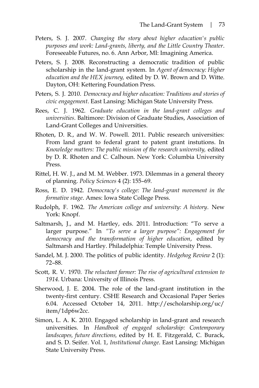- Peters, S. J. 2007. *Changing the story about higher education's public purposes and work: Land-grants, liberty, and the Little Country Theater*. Foreseeable Futures, no. 6. Ann Arbor, MI: Imagining America.
- Peters, S. J. 2008. Reconstructing a democratic tradition of public scholarship in the land-grant system. In *Agent of democracy: Higher education and the HEX journey,* edited by D. W. Brown and D. Witte. Dayton, OH: Kettering Foundation Press.
- Peters, S. J. 2010. *Democracy and higher education: Traditions and stories of civic engagement*. East Lansing: Michigan State University Press.
- Rees, C. J. 1962. *Graduate education in the land-grant colleges and universities*. Baltimore: Division of Graduate Studies, Association of Land-Grant Colleges and Universities.
- Rhoten, D. R., and W. W. Powell. 2011. Public research universities: From land grant to federal grant to patent grant instutions. In *Knowledge matters: The public mission of the research university,* edited by D. R. Rhoten and C. Calhoun. New York: Columbia University Press.
- Rittel, H. W. J., and M. M. Webber. 1973. Dilemmas in a general theory of planning. *Policy Sciences* 4 (2): 155–69.
- Ross, E. D. 1942. *Democracy's college: The land-grant movement in the formative stage*. Ames: Iowa State College Press.
- Rudolph, F. 1962. *The American college and university: A history*. New York: Knopf.
- Saltmarsh, J., and M. Hartley, eds. 2011. Introduction: "To serve a larger purpose." In *"To serve a larger purpose": Engagement for democracy and the transformation of higher education*, edited by Saltmarsh and Hartley. Philadelphia: Temple University Press.
- Sandel, M. J. 2000. The politics of public identity. *Hedgehog Review* 2 (1): 72–88.
- Scott, R. V. 1970. *The reluctant farmer: The rise of agricultural extension to 1914*. Urbana: University of Illinois Press.
- Sherwood, J. E. 2004. The role of the land-grant institution in the twenty-first century. CSHE Research and Occasional Paper Series 6.04. Accessed October 14, 2011. http://escholarship.org/uc/ item/1dp6w2cc.
- Simon, L. A. K. 2010. Engaged scholarship in land-grant and research universities. In *Handbook of engaged scholarship: Contemporary landscapes, future directions,* edited by H. E. Fitzgerald, C. Burack, and S. D. Seifer. Vol. 1, *Institutional change*. East Lansing: Michigan State University Press.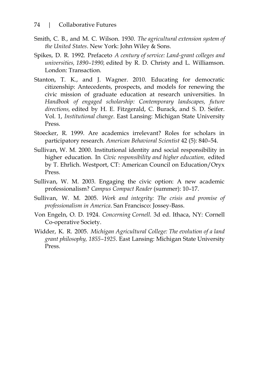- Smith, C. B., and M. C. Wilson. 1930. *The agricultural extension system of the United States*. New York: John Wiley & Sons.
- Spikes, D. R. 1992. Prefaceto *A century of service: Land-grant colleges and universities, 1890–1990,* edited by R. D. Christy and L. Williamson. London: Transaction.
- Stanton, T. K., and J. Wagner. 2010. Educating for democratic citizenship: Antecedents, prospects, and models for renewing the civic mission of graduate education at research universities. In *Handbook of engaged scholarship: Contemporary landscapes, future directions,* edited by H. E. Fitzgerald, C. Burack, and S. D. Seifer. Vol. 1, *Institutional change*. East Lansing: Michigan State University Press.
- Stoecker, R. 1999. Are academics irrelevant? Roles for scholars in participatory research. *American Behavioral Scientist* 42 (5): 840–54.
- Sullivan, W. M. 2000. Institutional identity and social responsibility in higher education. In *Civic responsibility and higher education,* edited by T. Ehrlich. Westport, CT: American Council on Education/Oryx Press.
- Sullivan, W. M. 2003. Engaging the civic option: A new academic professionalism? *Campus Compact Reader* (summer): 10–17.
- Sullivan, W. M. 2005. *Work and integrity: The crisis and promise of professionalism in America*. San Francisco: Jossey-Bass.
- Von Engeln, O. D. 1924. *Concerning Cornell.* 3d ed. Ithaca, NY: Cornell Co-operative Society.
- Widder, K. R. 2005. *Michigan Agricultural College: The evolution of a land grant philosophy, 1855–1925*. East Lansing: Michigan State University Press.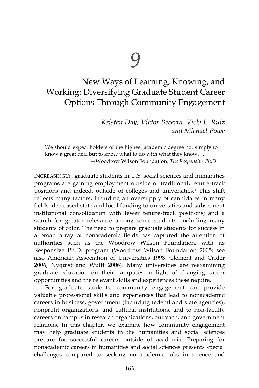# *9*

# New Ways of Learning, Knowing, and Working: Diversifying Graduate Student Career Options Through Community Engagement

*Kristen Day, Victor Becerra, Vicki L. Ruiz and Michael Powe*

We should expect holders of the highest academic degree not simply to know a great deal but to know what to do with what they know…. —Woodrow Wilson Foundation, *The Responsive Ph.D.*

INCREASINGLY, graduate students in U.S. social sciences and humanities programs are gaining employment outside of traditional, tenure-track positions and indeed, outside of colleges and universities.<sup>1</sup> This shift reflects many factors, including an oversupply of candidates in many fields; decreased state and local funding to universities and subsequent institutional consolidation with fewer tenure-track positions; and a search for greater relevance among some students, including many students of color. The need to prepare graduate students for success in a broad array of nonacademic fields has captured the attention of authorities such as the Woodrow Wilson Foundation, with its Responsive Ph.D. program (Woodrow Wilson Foundation 2005; see also American Association of Universities 1998; Clement and Crider 2006; Nyquist and Wulff 2006). Many universities are reexamining graduate education on their campuses in light of changing career opportunities and the relevant skills and experiences these require.

For graduate students, community engagement can provide valuable professional skills and experiences that lead to nonacademic careers in business, government (including federal and state agencies), nonprofit organizations, and cultural institutions, and to non-faculty careers on campus in research organizations, outreach, and government relations. In this chapter, we examine how community engagement may help graduate students in the humanities and social sciences prepare for successful careers outside of academia. Preparing for nonacademic careers in humanities and social sciences presents special challenges compared to seeking nonacademic jobs in science and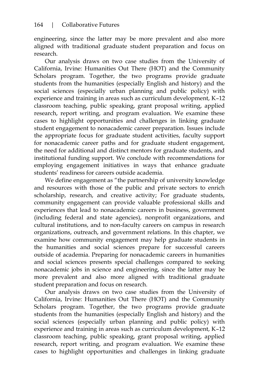engineering, since the latter may be more prevalent and also more aligned with traditional graduate student preparation and focus on research.

Our analysis draws on two case studies from the University of California, Irvine: Humanities Out There (HOT) and the Community Scholars program. Together, the two programs provide graduate students from the humanities (especially English and history) and the social sciences (especially urban planning and public policy) with experience and training in areas such as curriculum development, K–12 classroom teaching, public speaking, grant proposal writing, applied research, report writing, and program evaluation. We examine these cases to highlight opportunities and challenges in linking graduate student engagement to nonacademic career preparation. Issues include the appropriate focus for graduate student activities, faculty support for nonacademic career paths and for graduate student engagement, the need for additional and distinct mentors for graduate students, and institutional funding support. We conclude with recommendations for employing engagement initiatives in ways that enhance graduate students' readiness for careers outside academia.

We define engagement as "the partnership of university knowledge and resources with those of the public and private sectors to enrich scholarship, research, and creative activity; For graduate students, community engagement can provide valuable professional skills and experiences that lead to nonacademic careers in business, government (including federal and state agencies), nonprofit organizations, and cultural institutions, and to non-faculty careers on campus in research organizations, outreach, and government relations. In this chapter, we examine how community engagement may help graduate students in the humanities and social sciences prepare for successful careers outside of academia. Preparing for nonacademic careers in humanities and social sciences presents special challenges compared to seeking nonacademic jobs in science and engineering, since the latter may be more prevalent and also more aligned with traditional graduate student preparation and focus on research.

Our analysis draws on two case studies from the University of California, Irvine: Humanities Out There (HOT) and the Community Scholars program. Together, the two programs provide graduate students from the humanities (especially English and history) and the social sciences (especially urban planning and public policy) with experience and training in areas such as curriculum development, K–12 classroom teaching, public speaking, grant proposal writing, applied research, report writing, and program evaluation. We examine these cases to highlight opportunities and challenges in linking graduate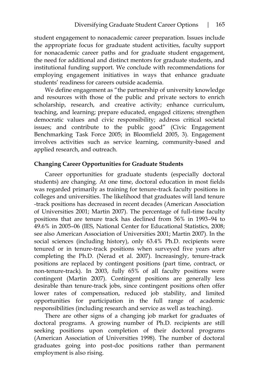student engagement to nonacademic career preparation. Issues include the appropriate focus for graduate student activities, faculty support for nonacademic career paths and for graduate student engagement, the need for additional and distinct mentors for graduate students, and institutional funding support. We conclude with recommendations for employing engagement initiatives in ways that enhance graduate students' readiness for careers outside academia.

We define engagement as "the partnership of university knowledge and resources with those of the public and private sectors to enrich scholarship, research, and creative activity; enhance curriculum, teaching, and learning; prepare educated, engaged citizens; strengthen democratic values and civic responsibility; address critical societal issues; and contribute to the public good" (Civic Engagement Benchmarking Task Force 2005; in Bloomfield 2005, 3). Engagement involves activities such as service learning, community-based and applied research, and outreach.

#### **Changing Career Opportunities for Graduate Students**

Career opportunities for graduate students (especially doctoral students) are changing. At one time, doctoral education in most fields was regarded primarily as training for tenure-track faculty positions in colleges and universities. The likelihood that graduates will land tenure -track positions has decreased in recent decades (American Association of Universities 2001; Martin 2007). The percentage of full-time faculty positions that are tenure track has declined from 56% in 1993–94 to 49.6% in 2005–06 (IES, National Center for Educational Statistics, 2008; see also American Association of Universities 2001; Martin 2007). In the social sciences (including history), only 63.4% Ph.D. recipients were tenured or in tenure-track positions when surveyed five years after completing the Ph.D. (Nerad et al. 2007). Increasingly, tenure-track positions are replaced by contingent positions (part time, contract, or non-tenure-track). In 2003, fully 65% of all faculty positions were contingent (Martin 2007). Contingent positions are generally less desirable than tenure-track jobs, since contingent positions often offer lower rates of compensation, reduced job stability, and limited opportunities for participation in the full range of academic responsibilities (including research and service as well as teaching).

There are other signs of a changing job market for graduates of doctoral programs. A growing number of Ph.D. recipients are still seeking positions upon completion of their doctoral programs (American Association of Universities 1998). The number of doctoral graduates going into post-doc positions rather than permanent employment is also rising.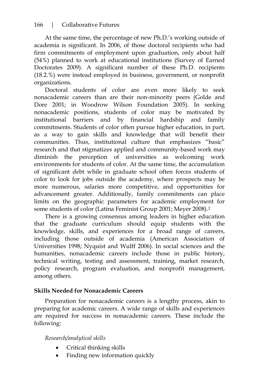At the same time, the percentage of new Ph.D.'s working outside of academia is significant. In 2006, of those doctoral recipients who had firm commitments of employment upon graduation, only about half (54%) planned to work at educational institutions (Survey of Earned Doctorates 2009). A significant number of these Ph.D. recipients (18.2.%) were instead employed in business, government, or nonprofit organizations.

Doctoral students of color are even more likely to seek nonacademic careers than are their non-minority peers (Golde and Dore 2001; in Woodrow Wilson Foundation 2005). In seeking nonacademic positions, students of color may be motivated by institutional barriers and by financial hardship and family commitments. Students of color often pursue higher education, in part, as a way to gain skills and knowledge that will benefit their communities. Thus, institutional culture that emphasizes "basic" research and that stigmatizes applied and community-based work may diminish the perception of universities as welcoming work environments for students of color. At the same time, the accumulation of significant debt while in graduate school often forces students of color to look for jobs outside the academy, where prospects may be more numerous, salaries more competitive, and opportunities for advancement greater. Additionally, family commitments can place limits on the geographic parameters for academic employment for some students of color (Latina Feminist Group 2001; Meyer 2008).<sup>2</sup>

There is a growing consensus among leaders in higher education that the graduate curriculum should equip students with the knowledge, skills, and experiences for a broad range of careers, including those outside of academia (American Association of Universities 1998; Nyquist and Wulff 2006). In social sciences and the humanities, nonacademic careers include those in public history, technical writing, testing and assessment, training, market research, policy research, program evaluation, and nonprofit management, among others.

# **Skills Needed for Nonacademic Careers**

Preparation for nonacademic careers is a lengthy process, akin to preparing for academic careers. A wide range of skills and experiences are required for success in nonacademic careers. These include the following:

#### *Research/analytical skills*

- Critical thinking skills
- Finding new information quickly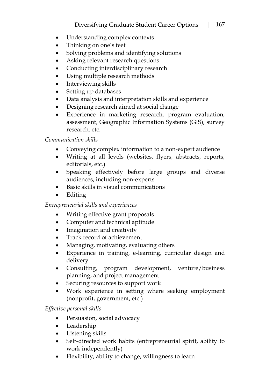- Understanding complex contexts
- Thinking on one's feet
- Solving problems and identifying solutions
- Asking relevant research questions
- Conducting interdisciplinary research
- Using multiple research methods
- Interviewing skills
- Setting up databases
- Data analysis and interpretation skills and experience
- Designing research aimed at social change
- Experience in marketing research, program evaluation, assessment, Geographic Information Systems (GIS), survey research, etc.

*Communication skills*

- Conveying complex information to a non-expert audience
- Writing at all levels (websites, flyers, abstracts, reports, editorials, etc.)
- Speaking effectively before large groups and diverse audiences, including non-experts
- Basic skills in visual communications
- Editing

# *Entrepreneurial skills and experiences*

- Writing effective grant proposals
- Computer and technical aptitude
- Imagination and creativity
- Track record of achievement
- Managing, motivating, evaluating others
- Experience in training, e-learning, curricular design and delivery
- Consulting, program development, venture/business planning, and project management
- Securing resources to support work
- Work experience in setting where seeking employment (nonprofit, government, etc.)

*Effective personal skills*

- Persuasion, social advocacy
- Leadership
- Listening skills
- Self-directed work habits (entrepreneurial spirit, ability to work independently)
- Flexibility, ability to change, willingness to learn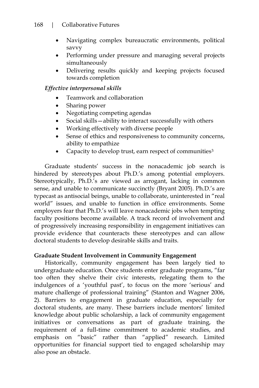- Navigating complex bureaucratic environments, political savvy
- Performing under pressure and managing several projects simultaneously
- Delivering results quickly and keeping projects focused towards completion

# *Effective interpersonal skills*

- Teamwork and collaboration
- Sharing power
- Negotiating competing agendas
- Social skills—ability to interact successfully with others
- Working effectively with diverse people
- Sense of ethics and responsiveness to community concerns, ability to empathize
- Capacity to develop trust, earn respect of communities<sup>3</sup>

Graduate students' success in the nonacademic job search is hindered by stereotypes about Ph.D.'s among potential employers. Stereotypically, Ph.D.'s are viewed as arrogant, lacking in common sense, and unable to communicate succinctly (Bryant 2005). Ph.D.'s are typecast as antisocial beings, unable to collaborate, uninterested in "real world" issues, and unable to function in office environments. Some employers fear that Ph.D.'s will leave nonacademic jobs when tempting faculty positions become available. A track record of involvement and of progressively increasing responsibility in engagement initiatives can provide evidence that counteracts these stereotypes and can allow doctoral students to develop desirable skills and traits.

#### **Graduate Student Involvement in Community Engagement**

Historically, community engagement has been largely tied to undergraduate education. Once students enter graduate programs, "far too often they shelve their civic interests, relegating them to the indulgences of a 'youthful past', to focus on the more 'serious' and mature challenge of professional training" (Stanton and Wagner 2006, 2). Barriers to engagement in graduate education, especially for doctoral students, are many. These barriers include mentors' limited knowledge about public scholarship, a lack of community engagement initiatives or conversations as part of graduate training, the requirement of a full-time commitment to academic studies, and emphasis on "basic" rather than "applied" research. Limited opportunities for financial support tied to engaged scholarship may also pose an obstacle.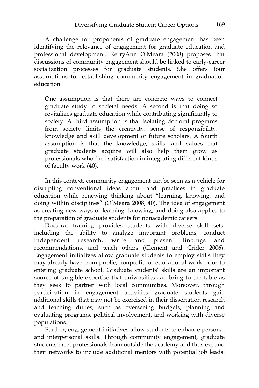A challenge for proponents of graduate engagement has been identifying the relevance of engagement for graduate education and professional development. KerryAnn O'Meara (2008) proposes that discussions of community engagement should be linked to early-career socialization processes for graduate students. She offers four assumptions for establishing community engagement in graduation education.

One assumption is that there are concrete ways to connect graduate study to societal needs. A second is that doing so revitalizes graduate education while contributing significantly to society. A third assumption is that isolating doctoral programs from society limits the creativity, sense of responsibility, knowledge and skill development of future scholars. A fourth assumption is that the knowledge, skills, and values that graduate students acquire will also help them grow as professionals who find satisfaction in integrating different kinds of faculty work (40).

In this context, community engagement can be seen as a vehicle for disrupting conventional ideas about and practices in graduate education while renewing thinking about "learning, knowing, and doing within disciplines" (O'Meara 2008, 40). The idea of engagement as creating new ways of learning, knowing, and doing also applies to the preparation of graduate students for nonacademic careers.

Doctoral training provides students with diverse skill sets, including the ability to analyze important problems, conduct independent research, write and present findings and recommendations, and teach others (Clement and Crider 2006). Engagement initiatives allow graduate students to employ skills they may already have from public, nonprofit, or educational work prior to entering graduate school. Graduate students' skills are an important source of tangible expertise that universities can bring to the table as they seek to partner with local communities. Moreover, through participation in engagement activities graduate students gain additional skills that may not be exercised in their dissertation research and teaching duties, such as overseeing budgets, planning and evaluating programs, political involvement, and working with diverse populations.

Further, engagement initiatives allow students to enhance personal and interpersonal skills. Through community engagement, graduate students meet professionals from outside the academy and thus expand their networks to include additional mentors with potential job leads.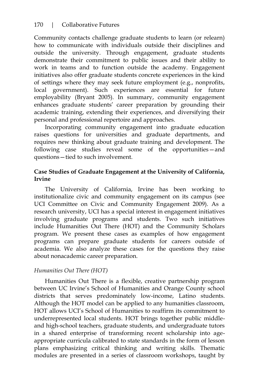Community contacts challenge graduate students to learn (or relearn) how to communicate with individuals outside their disciplines and outside the university. Through engagement, graduate students demonstrate their commitment to public issues and their ability to work in teams and to function outside the academy. Engagement initiatives also offer graduate students concrete experiences in the kind of settings where they may seek future employment (e.g., nonprofits, local government). Such experiences are essential for future employability (Bryant 2005). In summary, community engagement enhances graduate students' career preparation by grounding their academic training, extending their experiences, and diversifying their personal and professional repertoire and approaches.

Incorporating community engagement into graduate education raises questions for universities and graduate departments, and requires new thinking about graduate training and development. The following case studies reveal some of the opportunities—and questions—tied to such involvement.

# **Case Studies of Graduate Engagement at the University of California, Irvine**

The University of California, Irvine has been working to institutionalize civic and community engagement on its campus (see UCI Committee on Civic and Community Engagement 2009). As a research university, UCI has a special interest in engagement initiatives involving graduate programs and students. Two such initiatives include Humanities Out There (HOT) and the Community Scholars program. We present these cases as examples of how engagement programs can prepare graduate students for careers outside of academia. We also analyze these cases for the questions they raise about nonacademic career preparation.

# *Humanities Out There (HOT)*

Humanities Out There is a flexible, creative partnership program between UC Irvine's School of Humanities and Orange County school districts that serves predominately low-income, Latino students. Although the HOT model can be applied to any humanities classroom, HOT allows UCI's School of Humanities to reaffirm its commitment to underrepresented local students. HOT brings together public middleand high-school teachers, graduate students, and undergraduate tutors in a shared enterprise of transforming recent scholarship into ageappropriate curricula calibrated to state standards in the form of lesson plans emphasizing critical thinking and writing skills. Thematic modules are presented in a series of classroom workshops, taught by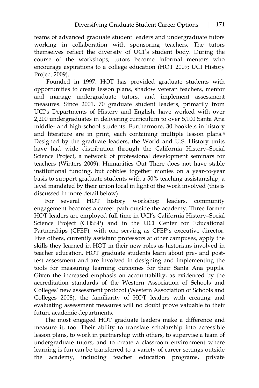teams of advanced graduate student leaders and undergraduate tutors working in collaboration with sponsoring teachers. The tutors themselves reflect the diversity of UCI's student body. During the course of the workshops, tutors become informal mentors who encourage aspirations to a college education (HOT 2009; UCI History Project 2009).

Founded in 1997, HOT has provided graduate students with opportunities to create lesson plans, shadow veteran teachers, mentor and manage undergraduate tutors, and implement assessment measures. Since 2001, 70 graduate student leaders, primarily from UCI's Departments of History and English, have worked with over 2,200 undergraduates in delivering curriculum to over 5,100 Santa Ana middle- and high-school students. Furthermore, 30 booklets in history and literature are in print, each containing multiple lesson plans.<sup>4</sup> Designed by the graduate leaders, the World and U.S. History units have had wide distribution through the California History–Social Science Project, a network of professional development seminars for teachers (Winters 2009). Humanities Out There does not have stable institutional funding, but cobbles together monies on a year-to-year basis to support graduate students with a 50% teaching assistantship, a level mandated by their union local in light of the work involved (this is discussed in more detail below).

For several HOT history workshop leaders, community engagement becomes a career path outside the academy. Three former HOT leaders are employed full time in UCI's California History–Social Science Project (CHSSP) and in the UCI Center for Educational Partnerships (CFEP), with one serving as CFEP's executive director. Five others, currently assistant professors at other campuses, apply the skills they learned in HOT in their new roles as historians involved in teacher education. HOT graduate students learn about pre- and posttest assessment and are involved in designing and implementing the tools for measuring learning outcomes for their Santa Ana pupils. Given the increased emphasis on accountability, as evidenced by the accreditation standards of the Western Association of Schools and Colleges' new assessment protocol (Western Association of Schools and Colleges 2008), the familiarity of HOT leaders with creating and evaluating assessment measures will no doubt prove valuable to their future academic departments.

The most engaged HOT graduate leaders make a difference and measure it, too. Their ability to translate scholarship into accessible lesson plans, to work in partnership with others, to supervise a team of undergraduate tutors, and to create a classroom environment where learning is fun can be transferred to a variety of career settings outside the academy, including teacher education programs, private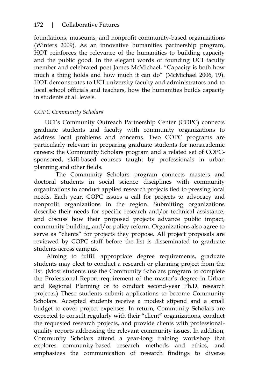foundations, museums, and nonprofit community-based organizations (Winters 2009). As an innovative humanities partnership program, HOT reinforces the relevance of the humanities to building capacity and the public good. In the elegant words of founding UCI faculty member and celebrated poet James McMichael, "Capacity is both how much a thing holds and how much it can do" (McMichael 2006, 19). HOT demonstrates to UCI university faculty and administrators and to local school officials and teachers, how the humanities builds capacity in students at all levels.

# *COPC Community Scholars*

UCI's Community Outreach Partnership Center (COPC) connects graduate students and faculty with community organizations to address local problems and concerns. Two COPC programs are particularly relevant in preparing graduate students for nonacademic careers: the Community Scholars program and a related set of COPCsponsored, skill-based courses taught by professionals in urban planning and other fields.

The Community Scholars program connects masters and doctoral students in social science disciplines with community organizations to conduct applied research projects tied to pressing local needs. Each year, COPC issues a call for projects to advocacy and nonprofit organizations in the region. Submitting organizations describe their needs for specific research and/or technical assistance, and discuss how their proposed projects advance public impact, community building, and/or policy reform. Organizations also agree to serve as "clients" for projects they propose. All project proposals are reviewed by COPC staff before the list is disseminated to graduate students across campus.

Aiming to fulfill appropriate degree requirements, graduate students may elect to conduct a research or planning project from the list. (Most students use the Community Scholars program to complete the Professional Report requirement of the master's degree in Urban and Regional Planning or to conduct second-year Ph.D. research projects.) These students submit applications to become Community Scholars. Accepted students receive a modest stipend and a small budget to cover project expenses. In return, Community Scholars are expected to consult regularly with their "client" organizations, conduct the requested research projects, and provide clients with professionalquality reports addressing the relevant community issues. In addition, Community Scholars attend a year-long training workshop that explores community-based research methods and ethics, and emphasizes the communication of research findings to diverse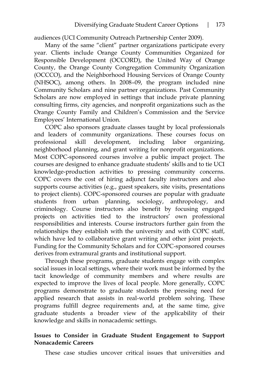audiences (UCI Community Outreach Partnership Center 2009).

Many of the same "client" partner organizations participate every year. Clients include Orange County Communities Organized for Responsible Development (OCCORD), the United Way of Orange County, the Orange County Congregation Community Organization (OCCCO), and the Neighborhood Housing Services of Orange County (NHSOC), among others. In 2008–09, the program included nine Community Scholars and nine partner organizations. Past Community Scholars are now employed in settings that include private planning consulting firms, city agencies, and nonprofit organizations such as the Orange County Family and Children's Commission and the Service Employees' International Union.

COPC also sponsors graduate classes taught by local professionals and leaders of community organizations. These courses focus on professional skill development, including labor organizing, neighborhood planning, and grant writing for nonprofit organizations. Most COPC-sponsored courses involve a public impact project. The courses are designed to enhance graduate students' skills and to tie UCI knowledge-production activities to pressing community concerns. COPC covers the cost of hiring adjunct faculty instructors and also supports course activities (e.g., guest speakers, site visits, presentations to project clients). COPC-sponsored courses are popular with graduate students from urban planning, sociology, anthropology, and criminology. Course instructors also benefit by focusing engaged projects on activities tied to the instructors' own professional responsibilities and interests. Course instructors further gain from the relationships they establish with the university and with COPC staff, which have led to collaborative grant writing and other joint projects. Funding for the Community Scholars and for COPC-sponsored courses derives from extramural grants and institutional support.

Through these programs, graduate students engage with complex social issues in local settings, where their work must be informed by the tacit knowledge of community members and where results are expected to improve the lives of local people. More generally, COPC programs demonstrate to graduate students the pressing need for applied research that assists in real-world problem solving. These programs fulfill degree requirements and, at the same time, give graduate students a broader view of the applicability of their knowledge and skills in nonacademic settings.

#### **Issues to Consider in Graduate Student Engagement to Support Nonacademic Careers**

These case studies uncover critical issues that universities and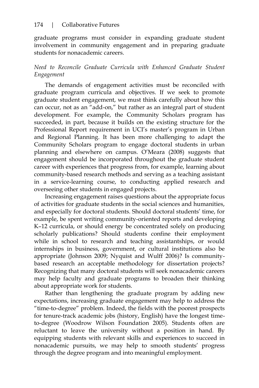graduate programs must consider in expanding graduate student involvement in community engagement and in preparing graduate students for nonacademic careers.

*Need to Reconcile Graduate Curricula with Enhanced Graduate Student Engagement*

The demands of engagement activities must be reconciled with graduate program curricula and objectives. If we seek to promote graduate student engagement, we must think carefully about how this can occur, not as an "add-on," but rather as an integral part of student development. For example, the Community Scholars program has succeeded, in part, because it builds on the existing structure for the Professional Report requirement in UCI's master's program in Urban and Regional Planning. It has been more challenging to adapt the Community Scholars program to engage doctoral students in urban planning and elsewhere on campus. O'Meara (2008) suggests that engagement should be incorporated throughout the graduate student career with experiences that progress from, for example, learning about community-based research methods and serving as a teaching assistant in a service-learning course, to conducting applied research and overseeing other students in engaged projects.

Increasing engagement raises questions about the appropriate focus of activities for graduate students in the social sciences and humanities, and especially for doctoral students. Should doctoral students' time, for example, be spent writing community-oriented reports and developing K–12 curricula, or should energy be concentrated solely on producing scholarly publications? Should students confine their employment while in school to research and teaching assistantships, or would internships in business, government, or cultural institutions also be appropriate (Johnson 2009; Nyquist and Wulff 2006)? Is communitybased research an acceptable methodology for dissertation projects? Recognizing that many doctoral students will seek nonacademic careers may help faculty and graduate programs to broaden their thinking about appropriate work for students.

Rather than lengthening the graduate program by adding new expectations, increasing graduate engagement may help to address the "time-to-degree" problem. Indeed, the fields with the poorest prospects for tenure-track academic jobs (history, English) have the longest timeto-degree (Woodrow Wilson Foundation 2005). Students often are reluctant to leave the university without a position in hand. By equipping students with relevant skills and experiences to succeed in nonacademic pursuits, we may help to smooth students' progress through the degree program and into meaningful employment.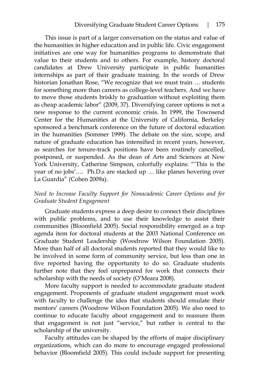This issue is part of a larger conversation on the status and value of the humanities in higher education and in public life. Civic engagement initiatives are one way for humanities programs to demonstrate that value to their students and to others. For example, history doctoral candidates at Drew University participate in public humanities internships as part of their graduate training. In the words of Drew historian Jonathan Rose, "We recognize that we must train … students for something more than careers as college-level teachers. And we have to move those students briskly to graduation without exploiting them as cheap academic labor" (2009, 37). Diversifying career options is not a new response to the current economic crisis. In 1999, the Townsend Center for the Humanities at the University of California, Berkeley sponsored a benchmark conference on the future of doctoral education in the humanities (Sommer 1999). The debate on the size, scope, and nature of graduate education has intensified in recent years, however, as searches for tenure-track positions have been routinely cancelled, postponed, or suspended. As the dean of Arts and Sciences at New York University, Catherine Simpson, colorfully explains: "'This is the year of no jobs'…. Ph.D.s are stacked up … like planes hovering over La Guardia" (Cohen 2009a).

# *Need to Increase Faculty Support for Nonacademic Career Options and for Graduate Student Engagement*

Graduate students express a deep desire to connect their disciplines with public problems, and to use their knowledge to assist their communities (Bloomfield 2005). Social responsibility emerged as a top agenda item for doctoral students at the 2003 National Conference on Graduate Student Leadership (Woodrow Wilson Foundation 2005). More than half of all doctoral students reported that they would like to be involved in some form of community service, but less than one in five reported having the opportunity to do so. Graduate students further note that they feel unprepared for work that connects their scholarship with the needs of society (O'Meara 2008).

More faculty support is needed to accommodate graduate student engagement. Proponents of graduate student engagement must work with faculty to challenge the idea that students should emulate their mentors' careers (Woodrow Wilson Foundation 2005). We also need to continue to educate faculty about engagement and to reassure them that engagement is not just "service," but rather is central to the scholarship of the university.

Faculty attitudes can be shaped by the efforts of major disciplinary organizations, which can do more to encourage engaged professional behavior (Bloomfield 2005). This could include support for presenting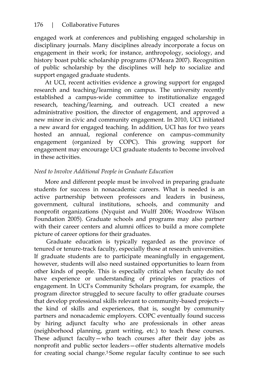engaged work at conferences and publishing engaged scholarship in disciplinary journals. Many disciplines already incorporate a focus on engagement in their work; for instance, anthropology, sociology, and history boast public scholarship programs (O'Meara 2007). Recognition of public scholarship by the disciplines will help to socialize and support engaged graduate students.

At UCI, recent activities evidence a growing support for engaged research and teaching/learning on campus. The university recently established a campus-wide committee to institutionalize engaged research, teaching/learning, and outreach. UCI created a new administrative position, the director of engagement, and approved a new minor in civic and community engagement. In 2010, UCI initiated a new award for engaged teaching. In addition, UCI has for two years hosted an annual, regional conference on campus–community engagement (organized by COPC). This growing support for engagement may encourage UCI graduate students to become involved in these activities.

### *Need to Involve Additional People in Graduate Education*

More and different people must be involved in preparing graduate students for success in nonacademic careers. What is needed is an active partnership between professors and leaders in business, government, cultural institutions, schools, and community and nonprofit organizations (Nyquist and Wulff 2006; Woodrow Wilson Foundation 2005). Graduate schools and programs may also partner with their career centers and alumni offices to build a more complete picture of career options for their graduates.

Graduate education is typically regarded as the province of tenured or tenure-track faculty, especially those at research universities. If graduate students are to participate meaningfully in engagement, however, students will also need sustained opportunities to learn from other kinds of people. This is especially critical when faculty do not have experience or understanding of principles or practices of engagement. In UCI's Community Scholars program, for example, the program director struggled to secure faculty to offer graduate courses that develop professional skills relevant to community-based projects the kind of skills and experiences, that is, sought by community partners and nonacademic employers. COPC eventually found success by hiring adjunct faculty who are professionals in other areas (neighborhood planning, grant writing, etc.) to teach these courses. These adjunct faculty—who teach courses after their day jobs as nonprofit and public sector leaders—offer students alternative models for creating social change.5 Some regular faculty continue to see such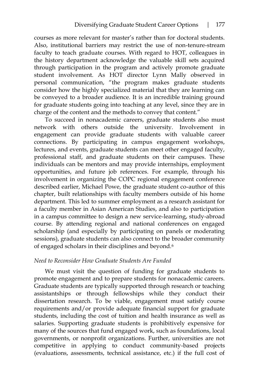courses as more relevant for master's rather than for doctoral students. Also, institutional barriers may restrict the use of non-tenure-stream faculty to teach graduate courses. With regard to HOT, colleagues in the history department acknowledge the valuable skill sets acquired through participation in the program and actively promote graduate student involvement. As HOT director Lynn Mally observed in personal communication, "the program makes graduate students consider how the highly specialized material that they are learning can be conveyed to a broader audience. It is an incredible training ground for graduate students going into teaching at any level, since they are in charge of the content and the methods to convey that content."

To succeed in nonacademic careers, graduate students also must network with others outside the university. Involvement in engagement can provide graduate students with valuable career connections. By participating in campus engagement workshops, lectures, and events, graduate students can meet other engaged faculty, professional staff, and graduate students on their campuses. These individuals can be mentors and may provide internships, employment opportunities, and future job references. For example, through his involvement in organizing the COPC regional engagement conference described earlier, Michael Powe, the graduate student co-author of this chapter, built relationships with faculty members outside of his home department. This led to summer employment as a research assistant for a faculty member in Asian American Studies, and also to participation in a campus committee to design a new service-learning, study-abroad course. By attending regional and national conferences on engaged scholarship (and especially by participating on panels or moderating sessions), graduate students can also connect to the broader community of engaged scholars in their disciplines and beyond.<sup>6</sup>

### *Need to Reconsider How Graduate Students Are Funded*

We must visit the question of funding for graduate students to promote engagement and to prepare students for nonacademic careers. Graduate students are typically supported through research or teaching assistantships or through fellowships while they conduct their dissertation research. To be viable, engagement must satisfy course requirements and/or provide adequate financial support for graduate students, including the cost of tuition and health insurance as well as salaries. Supporting graduate students is prohibitively expensive for many of the sources that fund engaged work, such as foundations, local governments, or nonprofit organizations. Further, universities are not competitive in applying to conduct community-based projects (evaluations, assessments, technical assistance, etc.) if the full cost of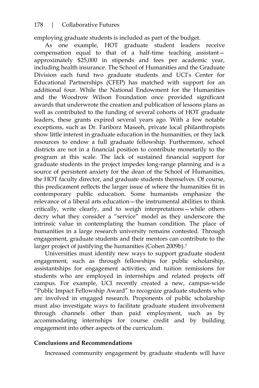employing graduate students is included as part of the budget.

As one example, HOT graduate student leaders receive compensation equal to that of a half-time teaching assistant approximately \$25,000 in stipends and fees per academic year, including health insurance. The School of Humanities and the Graduate Division each fund two graduate students and UCI's Center for Educational Partnerships (CFEP) has matched with support for an additional four. While the National Endowment for the Humanities and the Woodrow Wilson Foundation once provided significant awards that underwrote the creation and publication of lessons plans as well as contributed to the funding of several cohorts of HOT graduate leaders, these grants expired several years ago. With a few notable exceptions, such as Dr. Fariborz Maseeh, private local philanthropists show little interest in graduate education in the humanities, or they lack resources to endow a full graduate fellowship. Furthermore, school districts are not in a financial position to contribute monetarily to the program at this scale. The lack of sustained financial support for graduate students in the project impedes long-range planning and is a source of persistent anxiety for the dean of the School of Humanities, the HOT faculty director, and graduate students themselves. Of course, this predicament reflects the larger issue of where the humanities fit in contemporary public education. Some humanists emphasize the relevance of a liberal arts education—the instrumental abilities to think critically, write clearly, and to weigh interpretations—while others decry what they consider a "service" model as they underscore the intrinsic value in contemplating the human condition. The place of humanities in a large research university remains contested. Through engagement, graduate students and their mentors can contribute to the larger project of justifying the humanities (Cohen 2009b).<sup>7</sup>

Universities must identify new ways to support graduate student engagement, such as through fellowships for public scholarship, assistantships for engagement activities, and tuition remissions for students who are employed in internships and related projects off campus. For example, UCI recently created a new, campus-wide "Public Impact Fellowship Award" to recognize graduate students who are involved in engaged research. Proponents of public scholarship must also investigate ways to facilitate graduate student involvement through channels other than paid employment, such as by accommodating internships for course credit and by building engagement into other aspects of the curriculum.

## **Conclusions and Recommendations**

Increased community engagement by graduate students will have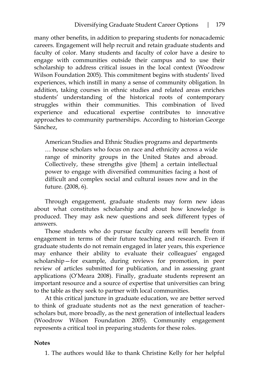many other benefits, in addition to preparing students for nonacademic careers. Engagement will help recruit and retain graduate students and faculty of color. Many students and faculty of color have a desire to engage with communities outside their campus and to use their scholarship to address critical issues in the local context (Woodrow Wilson Foundation 2005). This commitment begins with students' lived experiences, which instill in many a sense of community obligation. In addition, taking courses in ethnic studies and related areas enriches students' understanding of the historical roots of contemporary struggles within their communities. This combination of lived experience and educational expertise contributes to innovative approaches to community partnerships. According to historian George Sánchez,

American Studies and Ethnic Studies programs and departments … house scholars who focus on race and ethnicity across a wide range of minority groups in the United States and abroad. Collectively, these strengths give [them] a certain intellectual power to engage with diversified communities facing a host of difficult and complex social and cultural issues now and in the future. (2008, 6).

Through engagement, graduate students may form new ideas about what constitutes scholarship and about how knowledge is produced. They may ask new questions and seek different types of answers.

Those students who do pursue faculty careers will benefit from engagement in terms of their future teaching and research. Even if graduate students do not remain engaged in later years, this experience may enhance their ability to evaluate their colleagues' engaged scholarship—for example, during reviews for promotion, in peer review of articles submitted for publication, and in assessing grant applications (O'Meara 2008). Finally, graduate students represent an important resource and a source of expertise that universities can bring to the table as they seek to partner with local communities.

At this critical juncture in graduate education, we are better served to think of graduate students not as the next generation of teacherscholars but, more broadly, as the next generation of intellectual leaders (Woodrow Wilson Foundation 2005). Community engagement represents a critical tool in preparing students for these roles.

### **Notes**

1. The authors would like to thank Christine Kelly for her helpful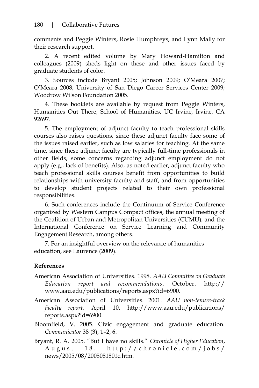comments and Peggie Winters, Rosie Humphreys, and Lynn Mally for their research support.

2. A recent edited volume by Mary Howard-Hamilton and colleagues (2009) sheds light on these and other issues faced by graduate students of color.

3. Sources include Bryant 2005; Johnson 2009; O'Meara 2007; O'Meara 2008; University of San Diego Career Services Center 2009; Woodrow Wilson Foundation 2005.

4. These booklets are available by request from Peggie Winters, Humanities Out There, School of Humanities, UC Irvine, Irvine, CA 92697.

5. The employment of adjunct faculty to teach professional skills courses also raises questions, since these adjunct faculty face some of the issues raised earlier, such as low salaries for teaching. At the same time, since these adjunct faculty are typically full-time professionals in other fields, some concerns regarding adjunct employment do not apply (e.g., lack of benefits). Also, as noted earlier, adjunct faculty who teach professional skills courses benefit from opportunities to build relationships with university faculty and staff, and from opportunities to develop student projects related to their own professional responsibilities.

6. Such conferences include the Continuum of Service Conference organized by Western Campus Compact offices, the annual meeting of the Coalition of Urban and Metropolitan Universities (CUMU), and the International Conference on Service Learning and Community Engagement Research, among others.

7. For an insightful overview on the relevance of humanities education, see Laurence (2009).

# **References**

- American Association of Universities. 1998. *AAU Committee on Graduate Education report and recommendations*. October. http:// www.aau.edu/publications/reports.aspx?id=6900.
- American Association of Universities. 2001. *AAU non-tenure-track faculty report.* April 10. http://www.aau.edu/publications/ reports.aspx?id=6900.
- Bloomfield, V. 2005. Civic engagement and graduate education. *Communicator* 38 (3), 1–2, 6.
- Bryant, R. A. 2005. "But I have no skills." *Chronicle of Higher Education*, August 18. http://chronicle.com/jobs/ news/2005/08/2005081801c.htm.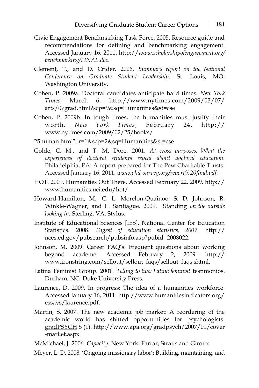- Civic Engagement Benchmarking Task Force. 2005. Resource guide and recommendations for defining and benchmarking engagement. Accessed January 16, 2011. http://*www.scholarshipofengagement.org/ benchmarking/FINAL.doc.*
- Clement, T., and D. Crider. 2006. *Summary report on the National Conference on Graduate Student Leadership*. St. Louis, MO: Washington University.
- Cohen, P. 2009a. Doctoral candidates anticipate hard times. *New York Times,* March 6. http://www.nytimes.com/2009/03/07/ arts/07grad.html?scp=9&sq=Humanities&st=cse
- Cohen, P. 2009b. In tough times, the humanities must justify their worth. *New York Times*, February 24. http:// www.nytimes.com/2009/02/25/books/
- 25human.html?\_r=1&scp=2&sq=Humanities&st=cse
- Golde, C. M., and T. M. Dore. 2001. *At cross purposes: What the experiences of doctoral students reveal about doctoral education.*  Philadelphia, PA: A report prepared for The Pew Charitable Trusts. Accessed January 16, 2011. *www.phd-survey.org/report%20final.pdf.*
- HOT. 2009. Humanities Out There. Accessed February 22, 2009. http:// www.humanities.uci.edu/hot/.
- Howard-Hamilton, M., C. L. Morelon-Quainoo, S. D. Johnson, R. Winkle-Wagner, and L. Santiague. 2009. Standing *on the outside looking in.* Sterling, VA: Stylus.
- Institute of Educational Sciences [IES], National Center for Education Statistics. 2008. *Digest of education statistics, 2007*. http:// nces.ed.gov/pubsearch/pubsinfo.asp?pubid=2008022.
- Johnson, M. 2009. Career FAQ's: Frequent questions about working beyond academe. Accessed February 2, 2009. http:// www.ironstring.com/sellout/sellout\_faqs/sellout\_faqs.shtml.
- Latina Feminist Group. 2001. *Telling to live: Latina feminist* testimonios. Durham, NC: Duke University Press.
- Laurence, D. 2009. In progress: The idea of a humanities workforce*.*  Accessed January 16, 2011. http://www.humanitiesindicators.org/ essays/laurence.pdf.
- Martin, S. 2007. The new academic job market: A reordering of the academic world has shifted opportunities for psychologists. gradPSYCH 5 (1). http://www.apa.org/gradpsych/2007/01/cover -market.aspx
- McMichael, J. 2006. *Capacity.* New York: Farrar, Straus and Giroux.
- Meyer, L. D. 2008. 'Ongoing missionary labor': Building, maintaining, and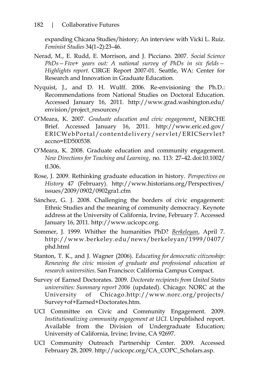expanding Chicana Studies/history; An interview with Vicki L. Ruiz. *Feminist Studies* 34(1–2):23–46.

- Nerad, M., E. Rudd, E. Morrison, and J. Picciano. 2007. *Social Science PhDs—Five+ years out: A national survey of PhDs in six fields— Highlights report.* CIRGE Report 2007-01. Seattle, WA: Center for Research and Innovation in Graduate Education.
- Nyquist, J., and D. H. Wulff. 2006. Re-envisioning the Ph.D.: Recommendations from National Studies on Doctoral Education. Accessed January 16, 2011. http://www.grad.washington.edu/ envision/project\_resources/
- O'Meara, K. 2007. *Graduate education and civic engagement*. NERCHE Brief. Accessed January 16, 2011. http://www.eric.ed.gov/ ERICWebPortal/contentdelivery/servlet/ERICServlet? accno=ED500538.
- O'Meara, K. 2008. Graduate education and community engagement. *New Directions for Teaching and Learning*, no. 113: 27–42.doi:10.1002/ tl.306.
- Rose, J. 2009. Rethinking graduate education in history. *Perspectives on History* 47 (February). http://www.historians.org/Perspectives/ issues/2009/0902/0902gra1.cfm
- Sánchez, G. J. 2008. Challenging the borders of civic engagement: Ethnic Studies and the meaning of community democracy. Keynote address at the University of California, Irvine, February 7. Accessed January 16, 2011. http://www.ucicopc.org.
- Sommer, J. 1999. Whither the humanities PhD? *Berkeleyan*, April 7. http://www.berkeley.edu/news/berkeleyan/1999/0407/ phd.html
- Stanton, T. K., and J. Wagner (2006). *Educating for democratic citizenship: Renewing the civic mission of graduate and professional education at research universities*. San Francisco: California Campus Compact.
- Survey of Earned Doctorates. 2009. *Doctorate recipients from United States universities: Summary report 2006* (updated). Chicago: NORC at the University of Chicago.http://www.norc.org/projects/ Survey+of+Earned+Doctorates.htm.
- UCI Committee on Civic and Community Engagement. 2009. *Institutionalizing community engagement at UCI.* Unpublished report. Available from the Division of Undergraduate Education; University of California, Irvine; Irvine, CA 92697.
- UCI Community Outreach Partnership Center. 2009. Accessed February 28, 2009. http://ucicopc.org/CA\_COPC\_Scholars.asp.